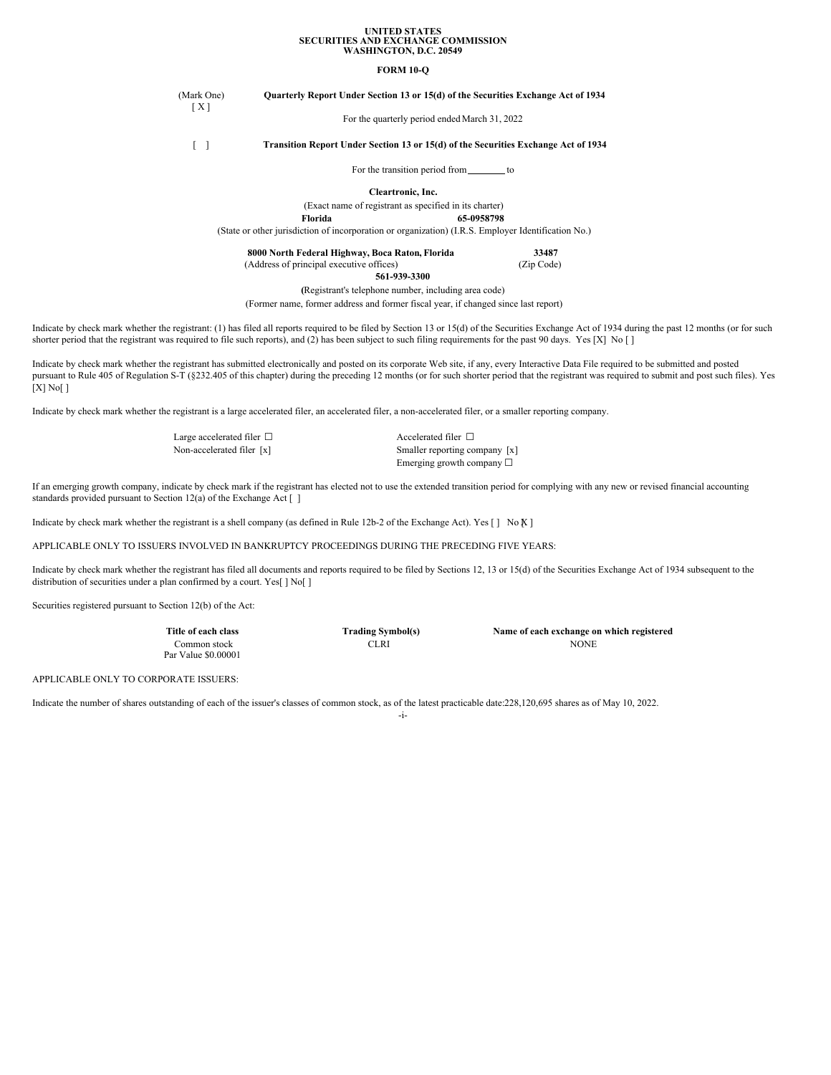# **UNITED STATES SECURITIES AND EXCHANGE COMMISSION WASHINGTON, D.C. 20549**

#### **FORM 10-Q**

(Mark One) [ X ]

# **Quarterly Report Under Section 13 or 15(d) of the Securities Exchange Act of 1934**

## For the quarterly period ended March 31, 2022

#### [ ] **Transition Report Under Section 13 or 15(d) of the Securities Exchange Act of 1934**

For the transition period from \_\_\_\_\_\_\_\_\_ to

**Cleartronic, Inc.**

(Exact name of registrant as specified in its charter) **Florida 65-0958798**

(State or other jurisdiction of incorporation or organization) (I.R.S. Employer Identification No.)

**8000 North Federal Highway, Boca Raton, Florida 33487**

(Address of principal executive offices) (Zip Code)

**561-939-3300**

**(**Registrant's telephone number, including area code)

(Former name, former address and former fiscal year, if changed since last report)

Indicate by check mark whether the registrant: (1) has filed all reports required to be filed by Section 13 or 15(d) of the Securities Exchange Act of 1934 during the past 12 months (or for such shorter period that the registrant was required to file such reports), and (2) has been subject to such filing requirements for the past 90 days. Yes [X] No []

Indicate by check mark whether the registrant has submitted electronically and posted on its corporate Web site, if any, every Interactive Data File required to be submitted and posted pursuant to Rule 405 of Regulation S-T (§232.405 of this chapter) during the preceding 12 months (or for such shorter period that the registrant was required to submit and post such files). Yes [X] No[ ]

Indicate by check mark whether the registrant is a large accelerated filer, an accelerated filer, a non-accelerated filer, or a smaller reporting company.

| Large accelerated filer $\Box$ | Accelerated filer $\Box$       |
|--------------------------------|--------------------------------|
| Non-accelerated filer [x]      | Smaller reporting company [x]  |
|                                | Emerging growth company $\Box$ |

If an emerging growth company, indicate by check mark if the registrant has elected not to use the extended transition period for complying with any new or revised financial accounting standards provided pursuant to Section 12(a) of the Exchange Act []

Indicate by check mark whether the registrant is a shell company (as defined in Rule 12b-2 of the Exchange Act). Yes [] No K[]

APPLICABLE ONLY TO ISSUERS INVOLVED IN BANKRUPTCY PROCEEDINGS DURING THE PRECEDING FIVE YEARS:

Indicate by check mark whether the registrant has filed all documents and reports required to be filed by Sections 12, 13 or 15(d) of the Securities Exchange Act of 1934 subsequent to the distribution of securities under a plan confirmed by a court. Yes[ ] No[ ]

Securities registered pursuant to Section 12(b) of the Act:

| Title of each class | <b>Trading Symbol(s)</b> | Name of each exchange on which registered |
|---------------------|--------------------------|-------------------------------------------|
| Common stock        | CLRI                     | <b>NONE</b>                               |
| Par Value \$0,00001 |                          |                                           |

APPLICABLE ONLY TO CORPORATE ISSUERS:

Indicate the number of shares outstanding of each of the issuer's classes of common stock, as of the latest practicable date:228,120,695 shares as of May 10, 2022.

-i-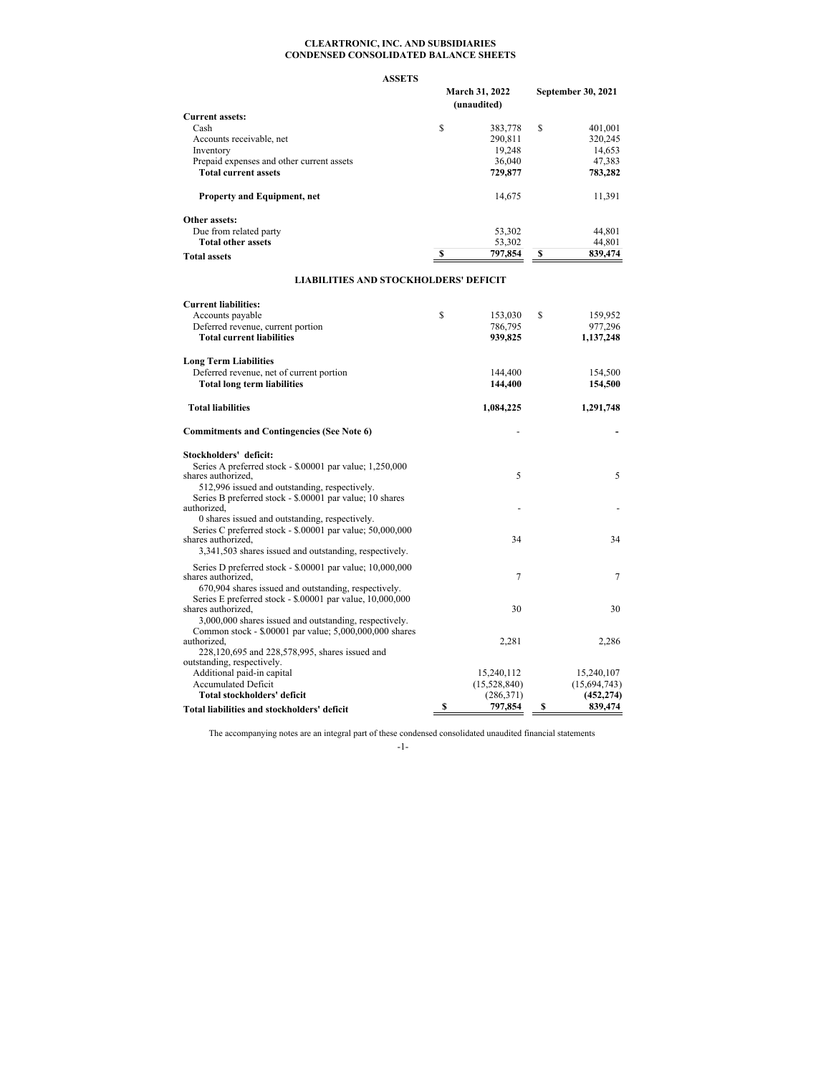#### **CLEARTRONIC, INC. AND SUBSIDIARIES CONDENSED CONSOLIDATED BALANCE SHEETS**

| <b>ASSETS</b>                                                                                                     |                                      |    |                            |
|-------------------------------------------------------------------------------------------------------------------|--------------------------------------|----|----------------------------|
|                                                                                                                   | <b>March 31, 2022</b><br>(unaudited) |    | September 30, 2021         |
| <b>Current assets:</b>                                                                                            |                                      |    |                            |
| Cash                                                                                                              | \$<br>383,778                        | S  | 401,001                    |
| Accounts receivable, net                                                                                          | 290,811                              |    | 320,245                    |
| Inventory                                                                                                         | 19,248                               |    | 14,653                     |
| Prepaid expenses and other current assets                                                                         | 36,040                               |    | 47,383                     |
| <b>Total current assets</b>                                                                                       | 729,877                              |    | 783,282                    |
| Property and Equipment, net                                                                                       | 14,675                               |    | 11,391                     |
| Other assets:                                                                                                     |                                      |    |                            |
| Due from related party                                                                                            | 53,302                               |    | 44,801                     |
| <b>Total other assets</b>                                                                                         | 53,302                               |    | 44,801                     |
| <b>Total assets</b>                                                                                               | \$<br>797,854                        | \$ | 839,474                    |
|                                                                                                                   |                                      |    |                            |
| <b>LIABILITIES AND STOCKHOLDERS' DEFICIT</b>                                                                      |                                      |    |                            |
| <b>Current liabilities:</b>                                                                                       |                                      |    |                            |
| Accounts payable                                                                                                  | \$<br>153,030                        | \$ | 159,952                    |
| Deferred revenue, current portion                                                                                 | 786,795                              |    | 977,296                    |
| <b>Total current liabilities</b>                                                                                  | 939,825                              |    | 1,137,248                  |
|                                                                                                                   |                                      |    |                            |
| <b>Long Term Liabilities</b><br>Deferred revenue, net of current portion                                          | 144,400                              |    | 154,500                    |
| <b>Total long term liabilities</b>                                                                                | 144,400                              |    | 154,500                    |
|                                                                                                                   |                                      |    |                            |
|                                                                                                                   |                                      |    |                            |
| <b>Total liabilities</b>                                                                                          | 1,084,225                            |    | 1,291,748                  |
| <b>Commitments and Contingencies (See Note 6)</b>                                                                 |                                      |    |                            |
| Stockholders' deficit:                                                                                            |                                      |    |                            |
| Series A preferred stock - \$.00001 par value; 1,250,000                                                          |                                      |    |                            |
| shares authorized,                                                                                                | 5                                    |    | 5                          |
| 512,996 issued and outstanding, respectively.                                                                     |                                      |    |                            |
| Series B preferred stock - \$.00001 par value; 10 shares                                                          |                                      |    |                            |
| authorized,                                                                                                       |                                      |    |                            |
| 0 shares issued and outstanding, respectively.<br>Series C preferred stock - \$.00001 par value; 50,000,000       |                                      |    |                            |
| shares authorized,                                                                                                | 34                                   |    | 34                         |
| 3,341,503 shares issued and outstanding, respectively.                                                            |                                      |    |                            |
| Series D preferred stock - \$.00001 par value; 10,000,000                                                         |                                      |    |                            |
| shares authorized,                                                                                                | $\overline{7}$                       |    | $\overline{7}$             |
| 670,904 shares issued and outstanding, respectively.                                                              |                                      |    |                            |
| Series E preferred stock - \$.00001 par value, 10,000,000                                                         | 30                                   |    | 30                         |
| shares authorized,                                                                                                |                                      |    |                            |
| 3,000,000 shares issued and outstanding, respectively.<br>Common stock - \$.00001 par value; 5,000,000,000 shares |                                      |    |                            |
| authorized,                                                                                                       | 2,281                                |    | 2,286                      |
| 228,120,695 and 228,578,995, shares issued and                                                                    |                                      |    |                            |
| outstanding, respectively.                                                                                        |                                      |    |                            |
| Additional paid-in capital                                                                                        | 15,240,112                           |    | 15,240,107                 |
| <b>Accumulated Deficit</b><br>Total stockholders' deficit                                                         | (15,528,840)<br>(286, 371)           |    | (15,694,743)<br>(452, 274) |

The accompanying notes are an integral part of these condensed consolidated unaudited financial statements

## -1-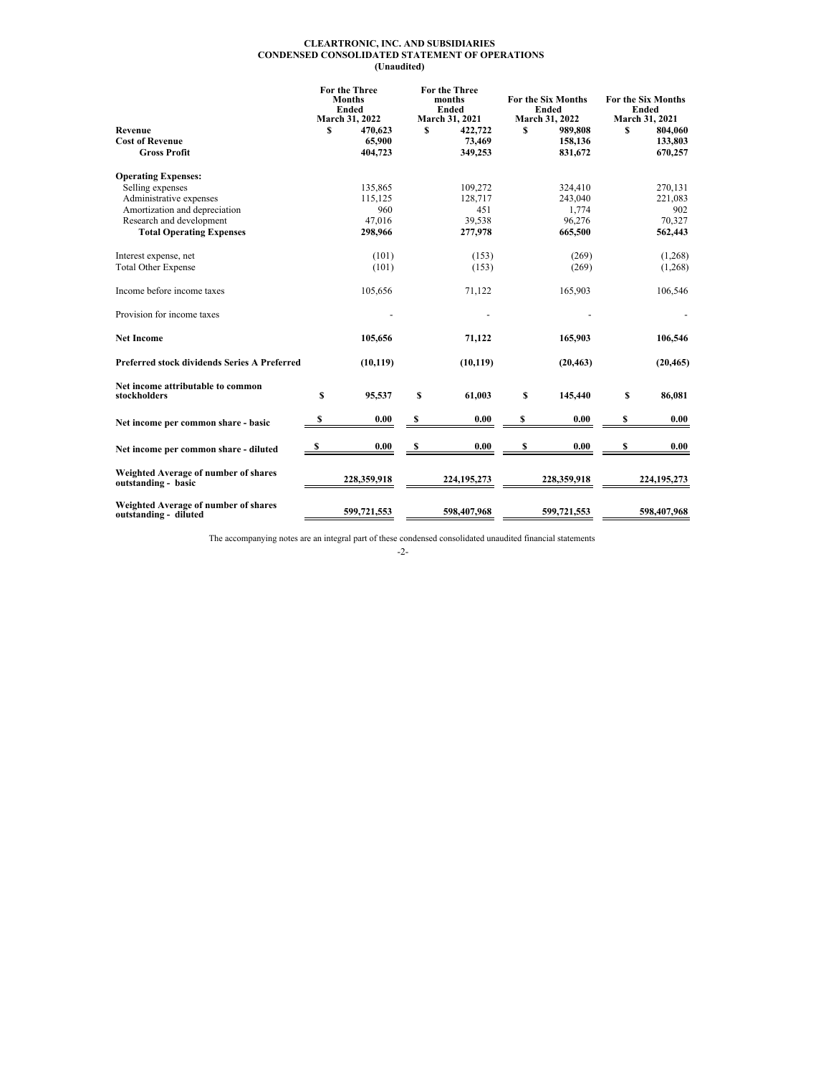#### **CLEARTRONIC, INC. AND SUBSIDIARIES CONDENSED CONSOLIDATED STATEMENT OF OPERATIONS (Unaudited)**

| Revenue<br><b>Cost of Revenue</b><br><b>Gross Profit</b>      | <b>For the Three</b><br><b>Months</b><br><b>Ended</b><br>March 31, 2022<br>s<br>470,623<br>65,900<br>404,723 | <b>For the Three</b><br>months<br><b>Ended</b><br>March 31, 2021<br>\$<br>422,722<br>73,469<br>349,253 | <b>For the Six Months</b><br>Ended<br>March 31, 2022<br>\$<br>989,808<br>158,136<br>831,672 | <b>For the Six Months</b><br><b>Ended</b><br>March 31, 2021<br>\$<br>804,060<br>133,803<br>670,257 |
|---------------------------------------------------------------|--------------------------------------------------------------------------------------------------------------|--------------------------------------------------------------------------------------------------------|---------------------------------------------------------------------------------------------|----------------------------------------------------------------------------------------------------|
| <b>Operating Expenses:</b>                                    |                                                                                                              |                                                                                                        |                                                                                             |                                                                                                    |
| Selling expenses                                              | 135,865                                                                                                      | 109,272                                                                                                | 324,410                                                                                     | 270,131                                                                                            |
| Administrative expenses                                       | 115,125                                                                                                      | 128,717                                                                                                | 243,040                                                                                     | 221,083                                                                                            |
| Amortization and depreciation                                 | 960                                                                                                          | 451                                                                                                    | 1.774                                                                                       | 902                                                                                                |
| Research and development                                      | 47,016                                                                                                       | 39,538                                                                                                 | 96,276                                                                                      | 70,327                                                                                             |
| <b>Total Operating Expenses</b>                               | 298,966                                                                                                      | 277,978                                                                                                | 665,500                                                                                     | 562,443                                                                                            |
| Interest expense, net                                         | (101)                                                                                                        | (153)                                                                                                  | (269)                                                                                       | (1,268)                                                                                            |
| <b>Total Other Expense</b>                                    | (101)                                                                                                        | (153)                                                                                                  | (269)                                                                                       | (1,268)                                                                                            |
| Income before income taxes                                    | 105,656                                                                                                      | 71,122                                                                                                 | 165,903                                                                                     | 106,546                                                                                            |
| Provision for income taxes                                    |                                                                                                              |                                                                                                        |                                                                                             |                                                                                                    |
| <b>Net Income</b>                                             | 105,656                                                                                                      | 71,122                                                                                                 | 165,903                                                                                     | 106,546                                                                                            |
| Preferred stock dividends Series A Preferred                  | (10, 119)                                                                                                    | (10, 119)                                                                                              | (20, 463)                                                                                   | (20, 465)                                                                                          |
| Net income attributable to common<br>stockholders             | \$<br>95,537                                                                                                 | \$<br>61,003                                                                                           | \$<br>145,440                                                                               | \$<br>86,081                                                                                       |
| Net income per common share - basic                           | S<br>0.00                                                                                                    | 0.00<br>s                                                                                              | S<br>0.00                                                                                   | S<br>0.00                                                                                          |
| Net income per common share - diluted                         | 0.00<br>- \$                                                                                                 | \$<br>0.00                                                                                             | \$<br>0.00                                                                                  | \$<br>0.00                                                                                         |
| Weighted Average of number of shares<br>outstanding - basic   | 228,359,918                                                                                                  | 224, 195, 273                                                                                          | 228,359,918                                                                                 | 224, 195, 273                                                                                      |
| Weighted Average of number of shares<br>outstanding - diluted | 599,721,553                                                                                                  | 598,407,968                                                                                            | 599,721,553                                                                                 | 598,407,968                                                                                        |

The accompanying notes are an integral part of these condensed consolidated unaudited financial statements

## -2-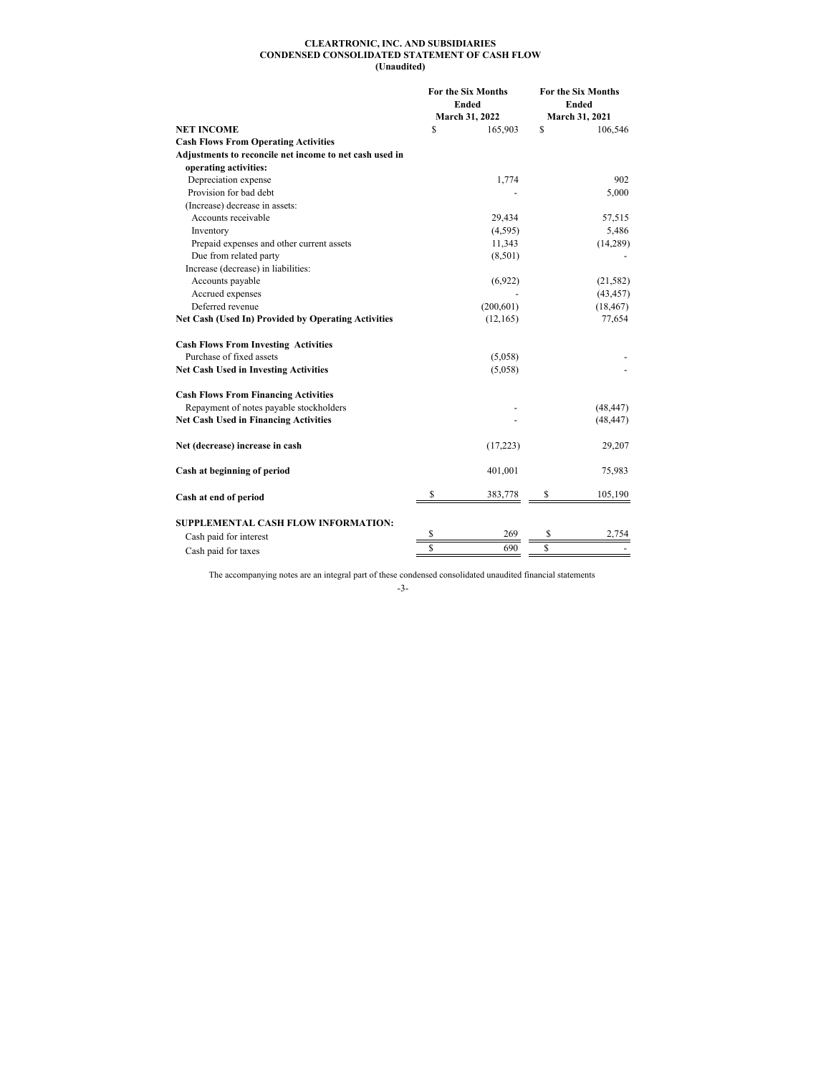#### **CLEARTRONIC, INC. AND SUBSIDIARIES CONDENSED CONSOLIDATED STATEMENT OF CASH FLOW (Unaudited)**

|                                                         | <b>For the Six Months</b><br><b>Ended</b><br>March 31, 2022 |               | <b>For the Six Months</b><br><b>Ended</b><br>March 31, 2021 |  |  |
|---------------------------------------------------------|-------------------------------------------------------------|---------------|-------------------------------------------------------------|--|--|
| <b>NET INCOME</b>                                       | S                                                           | \$<br>165,903 | 106,546                                                     |  |  |
| <b>Cash Flows From Operating Activities</b>             |                                                             |               |                                                             |  |  |
| Adjustments to reconcile net income to net cash used in |                                                             |               |                                                             |  |  |
| operating activities:                                   |                                                             |               |                                                             |  |  |
| Depreciation expense                                    |                                                             | 1,774         | 902                                                         |  |  |
| Provision for bad debt                                  |                                                             |               | 5,000                                                       |  |  |
| (Increase) decrease in assets:                          |                                                             |               |                                                             |  |  |
| Accounts receivable                                     |                                                             | 29,434        | 57,515                                                      |  |  |
| Inventory                                               |                                                             | (4,595)       | 5,486                                                       |  |  |
| Prepaid expenses and other current assets               |                                                             | 11,343        | (14, 289)                                                   |  |  |
| Due from related party                                  |                                                             | (8,501)       |                                                             |  |  |
| Increase (decrease) in liabilities:                     |                                                             |               |                                                             |  |  |
| Accounts payable                                        |                                                             | (6,922)       | (21, 582)                                                   |  |  |
| Accrued expenses                                        |                                                             |               | (43, 457)                                                   |  |  |
| Deferred revenue                                        | (200, 601)                                                  |               | (18, 467)                                                   |  |  |
| Net Cash (Used In) Provided by Operating Activities     |                                                             | (12, 165)     | 77,654                                                      |  |  |
| <b>Cash Flows From Investing Activities</b>             |                                                             |               |                                                             |  |  |
| Purchase of fixed assets                                |                                                             | (5,058)       |                                                             |  |  |
| <b>Net Cash Used in Investing Activities</b>            |                                                             | (5,058)       |                                                             |  |  |
| <b>Cash Flows From Financing Activities</b>             |                                                             |               |                                                             |  |  |
| Repayment of notes payable stockholders                 |                                                             |               | (48, 447)                                                   |  |  |
| <b>Net Cash Used in Financing Activities</b>            |                                                             |               | (48, 447)                                                   |  |  |
| Net (decrease) increase in cash                         |                                                             | (17,223)      | 29,207                                                      |  |  |
| Cash at beginning of period                             |                                                             | 401,001       | 75,983                                                      |  |  |
| Cash at end of period                                   | S                                                           | 383,778<br>S  | 105,190                                                     |  |  |
| SUPPLEMENTAL CASH FLOW INFORMATION:                     |                                                             |               |                                                             |  |  |
| Cash paid for interest                                  | S                                                           | 269<br>S      | 2.754                                                       |  |  |
| Cash paid for taxes                                     | S                                                           | \$<br>690     |                                                             |  |  |

The accompanying notes are an integral part of these condensed consolidated unaudited financial statements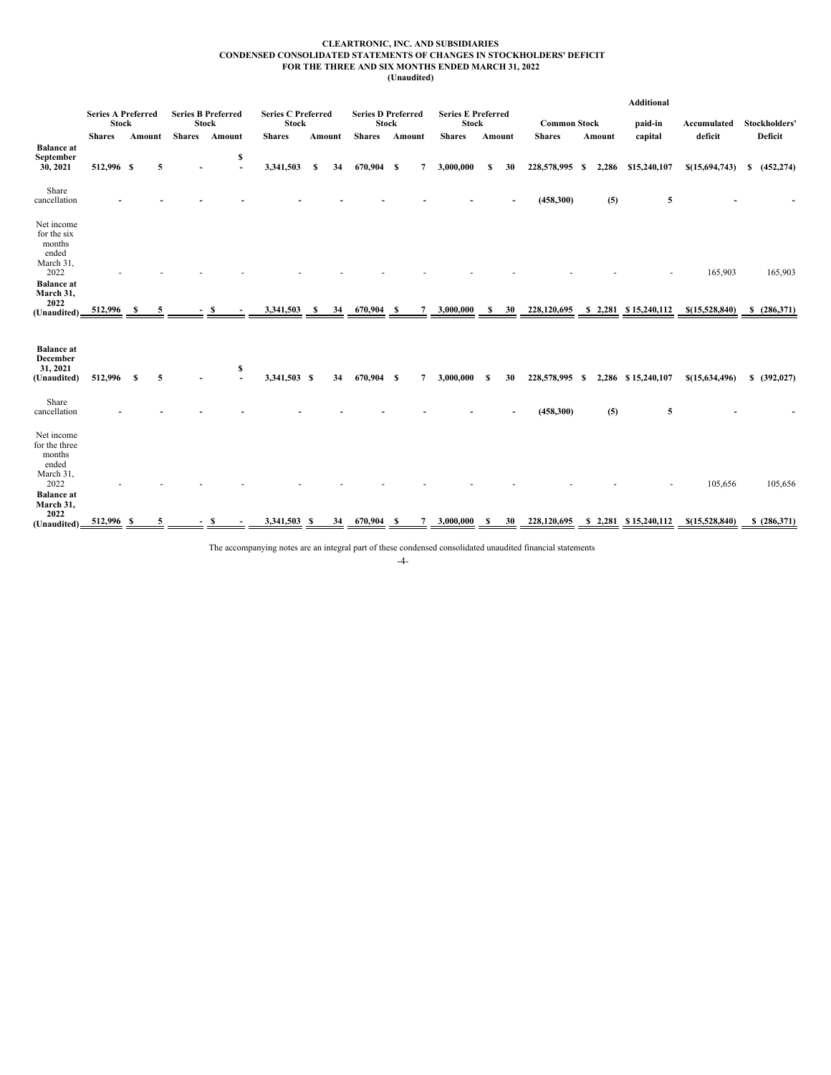#### **CLEARTRONIC, INC. AND SUBSIDIARIES CONDENSED CONSOLIDATED STATEMENTS OF CHANGES IN STOCKHOLDERS' DEFICIT FOR THE THREE AND SIX MONTHS ENDED MARCH 31, 2022 (Unaudited)**

|                                                                     |                                           |        |   |                           |              |         |                                           |      |        |                                           |        |   |                                           |    |        |                     |        |       | Additional           |                |                |
|---------------------------------------------------------------------|-------------------------------------------|--------|---|---------------------------|--------------|---------|-------------------------------------------|------|--------|-------------------------------------------|--------|---|-------------------------------------------|----|--------|---------------------|--------|-------|----------------------|----------------|----------------|
|                                                                     | <b>Series A Preferred</b><br><b>Stock</b> |        |   | <b>Series B Preferred</b> | <b>Stock</b> |         | <b>Series C Preferred</b><br><b>Stock</b> |      |        | <b>Series D Preferred</b><br><b>Stock</b> |        |   | <b>Series E Preferred</b><br><b>Stock</b> |    |        | <b>Common Stock</b> |        |       | paid-in              | Accumulated    | Stockholders'  |
| <b>Balance</b> at                                                   | <b>Shares</b>                             | Amount |   | <b>Shares</b>             | Amount       |         | <b>Shares</b>                             |      | Amount | <b>Shares</b>                             | Amount |   | <b>Shares</b>                             |    | Amount | <b>Shares</b>       | Amount |       | capital              | deficit        | <b>Deficit</b> |
| September<br>30, 2021                                               | 512,996 \$                                |        | 5 |                           |              | S<br>ä, | 3,341,503                                 | S    | 34     | 670,904                                   | - \$   | 7 | 3,000,000                                 | S  | 30     | 228,578,995         | - \$   | 2,286 | \$15,240,107         | \$(15,694,743) | \$ (452,274)   |
| Share<br>cancellation                                               |                                           |        |   |                           |              |         |                                           |      |        |                                           |        |   |                                           |    |        | (458,300)           |        | (5)   | 5                    |                |                |
| Net income<br>for the six<br>months<br>ended<br>March 31,<br>2022   |                                           |        |   |                           |              |         |                                           |      |        |                                           |        |   |                                           |    |        |                     |        |       |                      | 165,903        | 165,903        |
| <b>Balance</b> at<br>March 31,<br>2022<br>(Unaudited)               | 512,996                                   | S      | 5 |                           |              |         | 3,341,503                                 | S    | 34     | 670,904                                   | - \$   | 7 | 3,000,000                                 | -S | 30     | 228,120,695         |        |       | \$2,281 \$15,240,112 | \$(15,528,840) | \$(286,371)    |
| <b>Balance</b> at<br>December<br>31, 2021<br>(Unaudited)            | 512,996                                   | -S     | 5 |                           |              | \$      | 3,341,503 \$                              |      | 34     | 670,904                                   | - \$   |   | 3,000,000                                 | S  | 30     | 228,578,995         | - 5    |       | 2,286 \$15,240,107   | \$(15,634,496) | \$ (392,027)   |
| Share<br>cancellation                                               |                                           |        |   |                           |              |         |                                           |      |        |                                           |        |   |                                           |    |        | (458, 300)          |        | (5)   | 5                    |                |                |
| Net income<br>for the three<br>months<br>ended<br>March 31,<br>2022 |                                           |        |   |                           |              |         |                                           |      |        |                                           |        |   |                                           |    |        |                     |        |       |                      | 105,656        | 105,656        |
| <b>Balance</b> at<br>March 31,<br>2022<br>(Unaudited)               | 512,996                                   | -S     |   |                           |              |         | 3,341,503                                 | - \$ | 34     | 670,904                                   | S      |   | 3,000,000                                 | -S | 30     | 228,120,695         |        |       | \$2,281 \$15,240,112 | \$(15,528,840) | \$(286,371)    |

The accompanying notes are an integral part of these condensed consolidated unaudited financial statements

-4-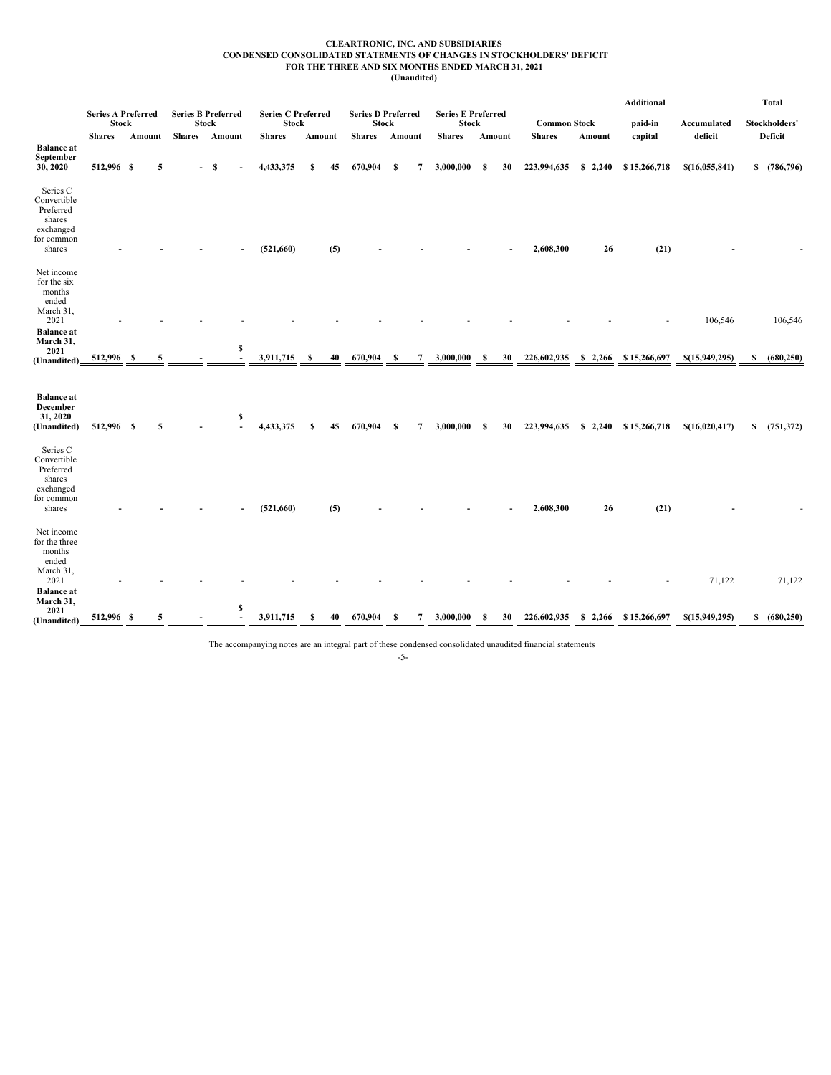#### **CLEARTRONIC, INC. AND SUBSIDIARIES CONDENSED CONSOLIDATED STATEMENTS OF CHANGES IN STOCKHOLDERS' DEFICIT FOR THE THREE AND SIX MONTHS ENDED MARCH 31, 2021 (Unaudited)**

|                                                                                     |                                           |    |        |                                           |        |         |                                           |     |        |                                    |        |   |                                           |    |        |                     |         | <b>Additional</b>    |                |   | <b>Total</b>  |
|-------------------------------------------------------------------------------------|-------------------------------------------|----|--------|-------------------------------------------|--------|---------|-------------------------------------------|-----|--------|------------------------------------|--------|---|-------------------------------------------|----|--------|---------------------|---------|----------------------|----------------|---|---------------|
|                                                                                     | <b>Series A Preferred</b><br><b>Stock</b> |    |        | <b>Series B Preferred</b><br><b>Stock</b> |        |         | <b>Series C Preferred</b><br><b>Stock</b> |     |        | <b>Series D Preferred</b><br>Stock |        |   | <b>Series E Preferred</b><br><b>Stock</b> |    |        | <b>Common Stock</b> |         | paid-in              | Accumulated    |   | Stockholders' |
|                                                                                     | <b>Shares</b>                             |    | Amount | <b>Shares</b>                             | Amount |         | <b>Shares</b>                             |     | Amount | <b>Shares</b>                      | Amount |   | <b>Shares</b>                             |    | Amount | <b>Shares</b>       | Amount  | capital              | deficit        |   | Deficit       |
| <b>Balance</b> at<br>September<br>30, 2020                                          | 512,996 \$                                |    | 5      |                                           |        |         | 4,433,375                                 | S   | 45     | 670,904                            | S      | 7 | 3,000,000                                 | S  | 30     | 223,994,635         | \$2,240 | \$15,266,718         | \$(16,055,841) |   | \$ (786,796)  |
| Series C<br>Convertible<br>Preferred<br>shares<br>exchanged<br>for common<br>shares |                                           |    |        |                                           |        |         | (521, 660)                                |     | (5)    |                                    |        |   |                                           |    |        | 2,608,300           | 26      | (21)                 |                |   |               |
| Net income<br>for the six<br>months<br>ended<br>March 31,<br>2021                   |                                           |    |        |                                           |        |         |                                           |     |        |                                    |        |   |                                           |    |        |                     |         |                      | 106,546        |   | 106,546       |
| <b>Balance</b> at<br>March 31,<br>2021                                              | 512,996                                   | -S |        |                                           |        | \$<br>÷ | 3,911,715                                 | - 5 | 40     | 670,904                            | S      | 7 | 3,000,000                                 | S  | 30     | 226,602,935         |         | \$2,266 \$15,266,697 | \$(15,949,295) | s | (680, 250)    |
| (Unaudited).                                                                        |                                           |    |        |                                           |        |         |                                           |     |        |                                    |        |   |                                           |    |        |                     |         |                      |                |   |               |
| <b>Balance</b> at<br>December<br>31, 2020<br>(Unaudited)                            | 512,996 \$                                |    | 5      |                                           |        | \$      | 4,433,375                                 | S   | 45     | 670.904                            | 5      |   | 3.000.000                                 | -S | 30     | 223,994,635         | \$2,240 | \$15,266,718         | \$(16,020,417) | s | (751, 372)    |
| Series C<br>Convertible<br>Preferred<br>shares<br>exchanged<br>for common<br>shares |                                           |    |        |                                           |        |         | (521,660)                                 |     | (5)    |                                    |        |   |                                           |    |        | 2,608,300           | 26      | (21)                 |                |   |               |
| Net income<br>for the three<br>months<br>ended<br>March 31,<br>2021                 |                                           |    |        |                                           |        |         |                                           |     |        |                                    |        |   |                                           |    |        |                     |         |                      | 71,122         |   | 71,122        |
| <b>Balance</b> at<br>March 31,<br>2021<br>(Unaudited)                               | 512,996 \$                                |    | 5      |                                           |        | S       | 3,911,715                                 | S   | 40     | 670,904                            | -S     | 7 | 3,000,000                                 | S  | 30     | 226,602,935         | \$2,266 | \$15,266,697         | \$(15,949,295) |   | \$ (680, 250) |

The accompanying notes are an integral part of these condensed consolidated unaudited financial statements

-5-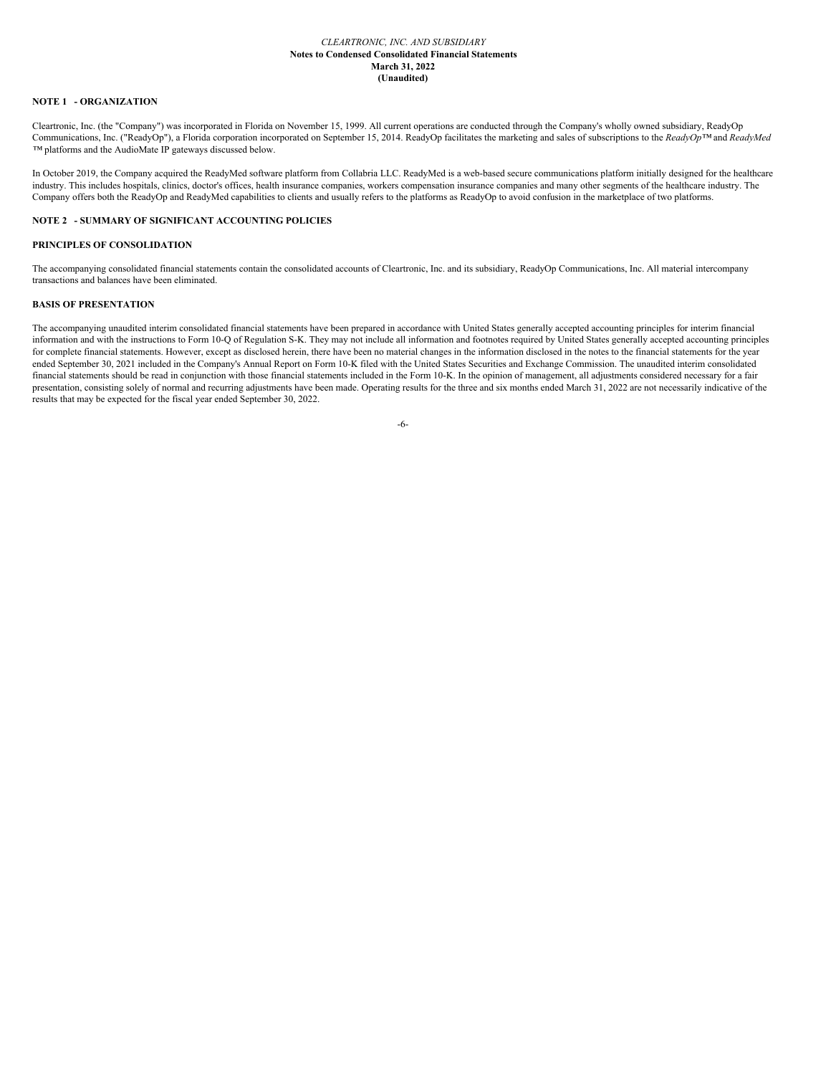#### *CLEARTRONIC, INC. AND SUBSIDIARY* **Notes to Condensed Consolidated Financial Statements March 31, 2022 (Unaudited)**

## **NOTE 1 - ORGANIZATION**

Cleartronic, Inc. (the "Company") was incorporated in Florida on November 15, 1999. All current operations are conducted through the Company's wholly owned subsidiary, ReadyOp Communications, Inc. ("ReadyOp"), a Florida corporation incorporated on September 15, 2014. ReadyOp facilitates the marketing and sales of subscriptions to the *ReadyOp™* and *ReadyMed ™* platforms and the AudioMate IP gateways discussed below.

In October 2019, the Company acquired the ReadyMed software platform from Collabria LLC. ReadyMed is a web-based secure communications platform initially designed for the healthcare industry. This includes hospitals, clinics, doctor's offices, health insurance companies, workers compensation insurance companies and many other segments of the healthcare industry. The Company offers both the ReadyOp and ReadyMed capabilities to clients and usually refers to the platforms as ReadyOp to avoid confusion in the marketplace of two platforms.

#### **NOTE 2 - SUMMARY OF SIGNIFICANT ACCOUNTING POLICIES**

## **PRINCIPLES OF CONSOLIDATION**

The accompanying consolidated financial statements contain the consolidated accounts of Cleartronic, Inc. and its subsidiary, ReadyOp Communications, Inc. All material intercompany transactions and balances have been eliminated.

#### **BASIS OF PRESENTATION**

The accompanying unaudited interim consolidated financial statements have been prepared in accordance with United States generally accepted accounting principles for interim financial information and with the instructions to Form 10-Q of Regulation S-K. They may not include all information and footnotes required by United States generally accepted accounting principles for complete financial statements. However, except as disclosed herein, there have been no material changes in the information disclosed in the notes to the financial statements for the year ended September 30, 2021 included in the Company's Annual Report on Form 10-K filed with the United States Securities and Exchange Commission. The unaudited interim consolidated financial statements should be read in conjunction with those financial statements included in the Form 10-K. In the opinion of management, all adjustments considered necessary for a fair presentation, consisting solely of normal and recurring adjustments have been made. Operating results for the three and six months ended March 31, 2022 are not necessarily indicative of the results that may be expected for the fiscal year ended September 30, 2022.

-6-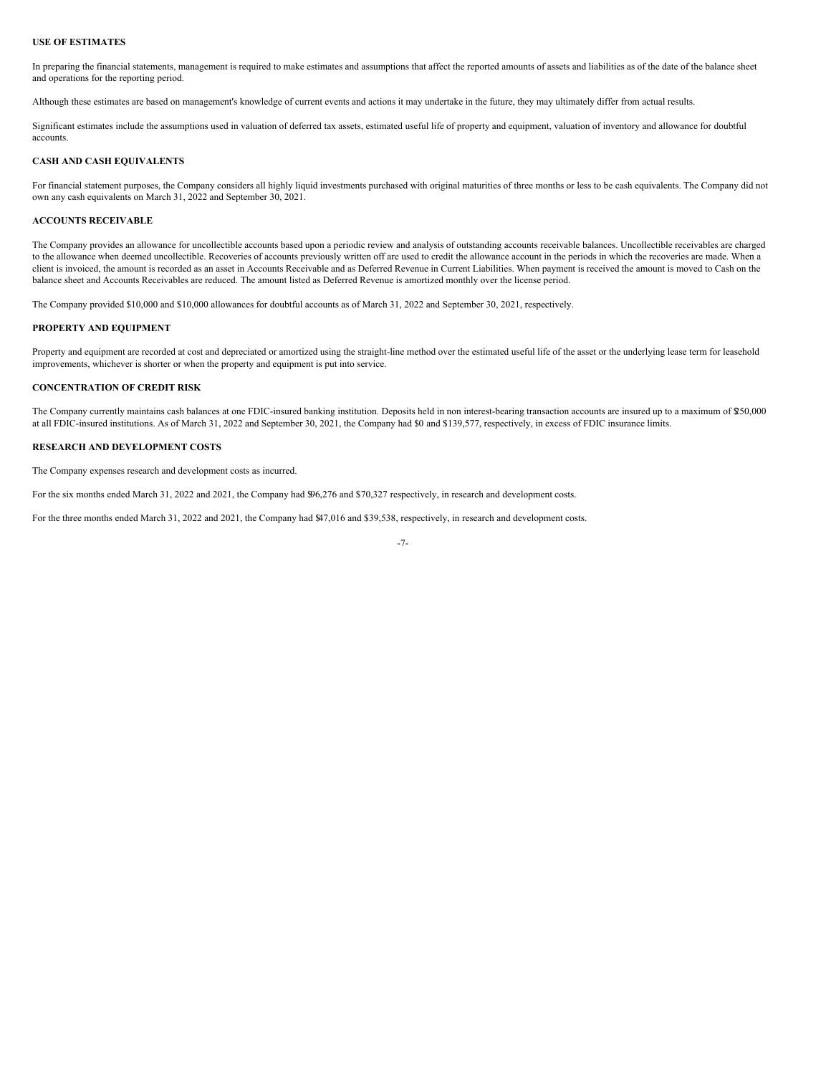#### **USE OF ESTIMATES**

In preparing the financial statements, management is required to make estimates and assumptions that affect the reported amounts of assets and liabilities as of the date of the balance sheet and operations for the reporting period.

Although these estimates are based on management's knowledge of current events and actions it may undertake in the future, they may ultimately differ from actual results.

Significant estimates include the assumptions used in valuation of deferred tax assets, estimated useful life of property and equipment, valuation of inventory and allowance for doubtful accounts.

#### **CASH AND CASH EQUIVALENTS**

For financial statement purposes, the Company considers all highly liquid investments purchased with original maturities of three months or less to be cash equivalents. The Company did not own any cash equivalents on March 31, 2022 and September 30, 2021.

#### **ACCOUNTS RECEIVABLE**

The Company provides an allowance for uncollectible accounts based upon a periodic review and analysis of outstanding accounts receivable balances. Uncollectible receivables are charged to the allowance when deemed uncollectible. Recoveries of accounts previously written off are used to credit the allowance account in the periods in which the recoveries are made. When a client is invoiced, the amount is recorded as an asset in Accounts Receivable and as Deferred Revenue in Current Liabilities. When payment is received the amount is moved to Cash on the balance sheet and Accounts Receivables are reduced. The amount listed as Deferred Revenue is amortized monthly over the license period.

The Company provided \$10,000 and \$10,000 allowances for doubtful accounts as of March 31, 2022 and September 30, 2021, respectively.

## **PROPERTY AND EQUIPMENT**

Property and equipment are recorded at cost and depreciated or amortized using the straight-line method over the estimated useful life of the asset or the underlying lease term for leasehold improvements, whichever is shorter or when the property and equipment is put into service.

#### **CONCENTRATION OF CREDIT RISK**

The Company currently maintains cash balances at one FDIC-insured banking institution. Deposits held in non interest-bearing transaction accounts are insured up to a maximum of \$250,000 at all FDIC-insured institutions. As of March 31, 2022 and September 30, 2021, the Company had \$0 and \$139,577, respectively, in excess of FDIC insurance limits.

## **RESEARCH AND DEVELOPMENT COSTS**

The Company expenses research and development costs as incurred.

For the six months ended March 31, 2022 and 2021, the Company had \$96,276 and \$70,327 respectively, in research and development costs.

For the three months ended March 31, 2022 and 2021, the Company had \$47,016 and \$39,538, respectively, in research and development costs.

-7-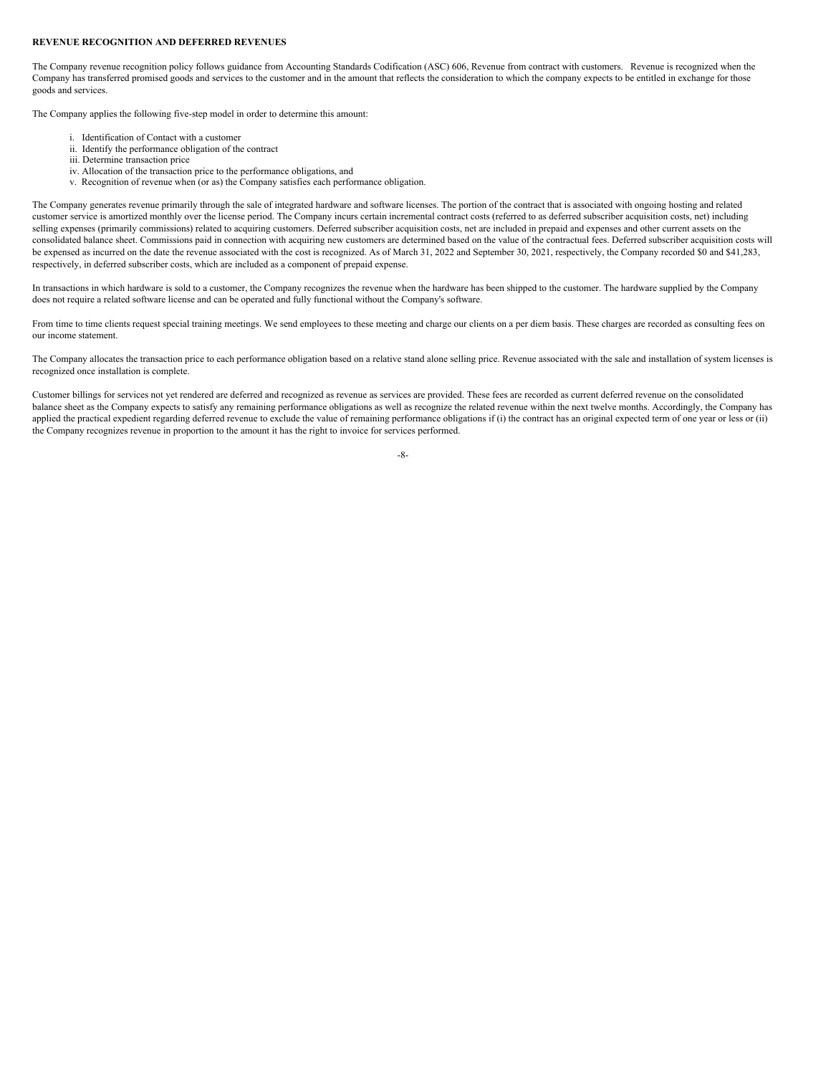### **REVENUE RECOGNITION AND DEFERRED REVENUES**

The Company revenue recognition policy follows guidance from Accounting Standards Codification (ASC) 606, Revenue from contract with customers. Revenue is recognized when the Company has transferred promised goods and services to the customer and in the amount that reflects the consideration to which the company expects to be entitled in exchange for those goods and services.

The Company applies the following five-step model in order to determine this amount:

- i. Identification of Contact with a customer
- ii. Identify the performance obligation of the contract
- iii. Determine transaction price
- iv. Allocation of the transaction price to the performance obligations, and
- v. Recognition of revenue when (or as) the Company satisfies each performance obligation.

The Company generates revenue primarily through the sale of integrated hardware and software licenses. The portion of the contract that is associated with ongoing hosting and related customer service is amortized monthly over the license period. The Company incurs certain incremental contract costs (referred to as deferred subscriber acquisition costs, net) including selling expenses (primarily commissions) related to acquiring customers. Deferred subscriber acquisition costs, net are included in prepaid and expenses and other current assets on the consolidated balance sheet. Commissions paid in connection with acquiring new customers are determined based on the value of the contractual fees. Deferred subscriber acquisition costs will be expensed as incurred on the date the revenue associated with the cost is recognized. As of March 31, 2022 and September 30, 2021, respectively, the Company recorded \$0 and \$41,283, respectively, in deferred subscriber costs, which are included as a component of prepaid expense.

In transactions in which hardware is sold to a customer, the Company recognizes the revenue when the hardware has been shipped to the customer. The hardware supplied by the Company does not require a related software license and can be operated and fully functional without the Company's software.

From time to time clients request special training meetings. We send employees to these meeting and charge our clients on a per diem basis. These charges are recorded as consulting fees on our income statement.

The Company allocates the transaction price to each performance obligation based on a relative stand alone selling price. Revenue associated with the sale and installation of system licenses is recognized once installation is complete.

Customer billings for services not yet rendered are deferred and recognized as revenue as services are provided. These fees are recorded as current deferred revenue on the consolidated balance sheet as the Company expects to satisfy any remaining performance obligations as well as recognize the related revenue within the next twelve months. Accordingly, the Company has applied the practical expedient regarding deferred revenue to exclude the value of remaining performance obligations if (i) the contract has an original expected term of one year or less or (ii) the Company recognizes revenue in proportion to the amount it has the right to invoice for services performed.

 $\overline{R}$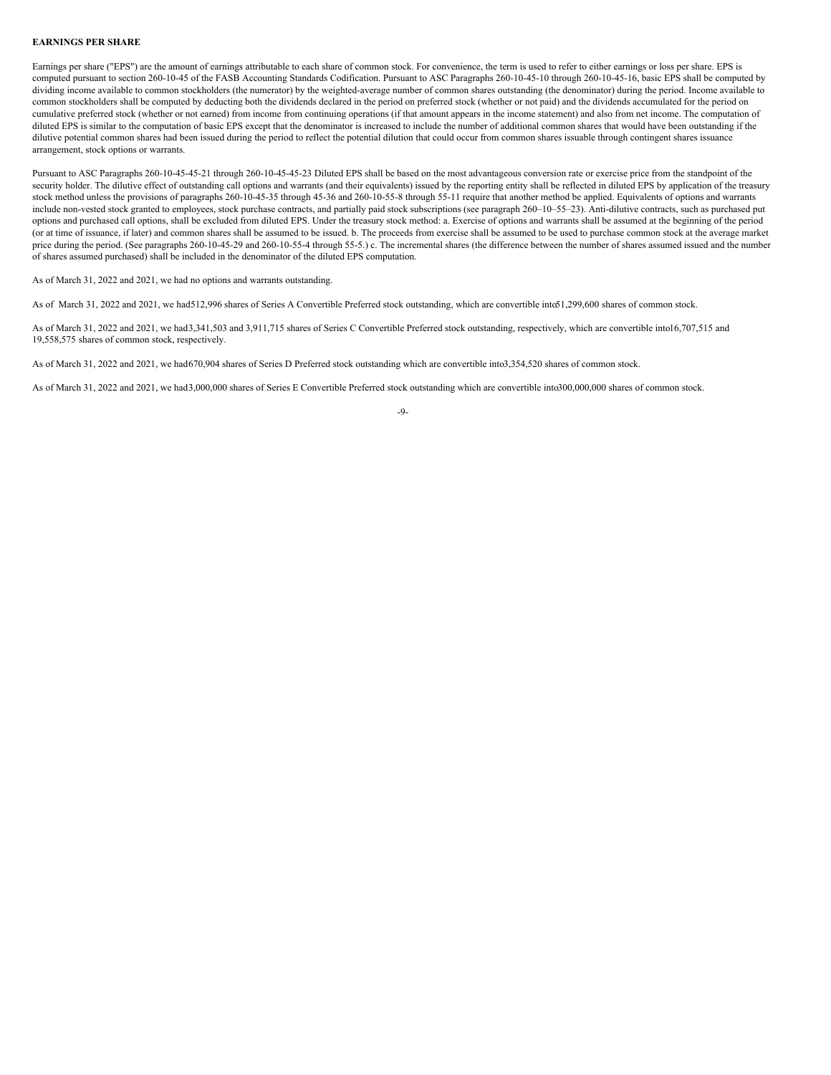#### **EARNINGS PER SHARE**

Earnings per share ("EPS") are the amount of earnings attributable to each share of common stock. For convenience, the term is used to refer to either earnings or loss per share. EPS is computed pursuant to section 260-10-45 of the FASB Accounting Standards Codification. Pursuant to ASC Paragraphs 260-10-45-10 through 260-10-45-16, basic EPS shall be computed by dividing income available to common stockholders (the numerator) by the weighted-average number of common shares outstanding (the denominator) during the period. Income available to common stockholders shall be computed by deducting both the dividends declared in the period on preferred stock (whether or not paid) and the dividends accumulated for the period on cumulative preferred stock (whether or not earned) from income from continuing operations (if that amount appears in the income statement) and also from net income. The computation of diluted EPS is similar to the computation of basic EPS except that the denominator is increased to include the number of additional common shares that would have been outstanding if the dilutive potential common shares had been issued during the period to reflect the potential dilution that could occur from common shares issuable through contingent shares issuance arrangement, stock options or warrants.

Pursuant to ASC Paragraphs 260-10-45-45-21 through 260-10-45-45-23 Diluted EPS shall be based on the most advantageous conversion rate or exercise price from the standpoint of the security holder. The dilutive effect of outstanding call options and warrants (and their equivalents) issued by the reporting entity shall be reflected in diluted EPS by application of the treasury stock method unless the provisions of paragraphs 260-10-45-35 through 45-36 and 260-10-55-8 through 55-11 require that another method be applied. Equivalents of options and warrants include non-vested stock granted to employees, stock purchase contracts, and partially paid stock subscriptions (see paragraph 260–10–55–23). Anti-dilutive contracts, such as purchased put options and purchased call options, shall be excluded from diluted EPS. Under the treasury stock method: a. Exercise of options and warrants shall be assumed at the beginning of the period (or at time of issuance, if later) and common shares shall be assumed to be issued. b. The proceeds from exercise shall be assumed to be used to purchase common stock at the average market price during the period. (See paragraphs 260-10-45-29 and 260-10-55-4 through 55-5.) c. The incremental shares (the difference between the number of shares assumed issued and the number of shares assumed purchased) shall be included in the denominator of the diluted EPS computation.

As of March 31, 2022 and 2021, we had no options and warrants outstanding.

As of March 31, 2022 and 2021, we had512,996 shares of Series A Convertible Preferred stock outstanding, which are convertible into51,299,600 shares of common stock.

As of March 31, 2022 and 2021, we had3,341,503 and 3,911,715 shares of Series C Convertible Preferred stock outstanding, respectively, which are convertible into16,707,515 and 19,558,575 shares of common stock, respectively.

As of March 31, 2022 and 2021, we had670,904 shares of Series D Preferred stock outstanding which are convertible into3,354,520 shares of common stock.

As of March 31, 2022 and 2021, we had3,000,000 shares of Series E Convertible Preferred stock outstanding which are convertible into300,000,000 shares of common stock.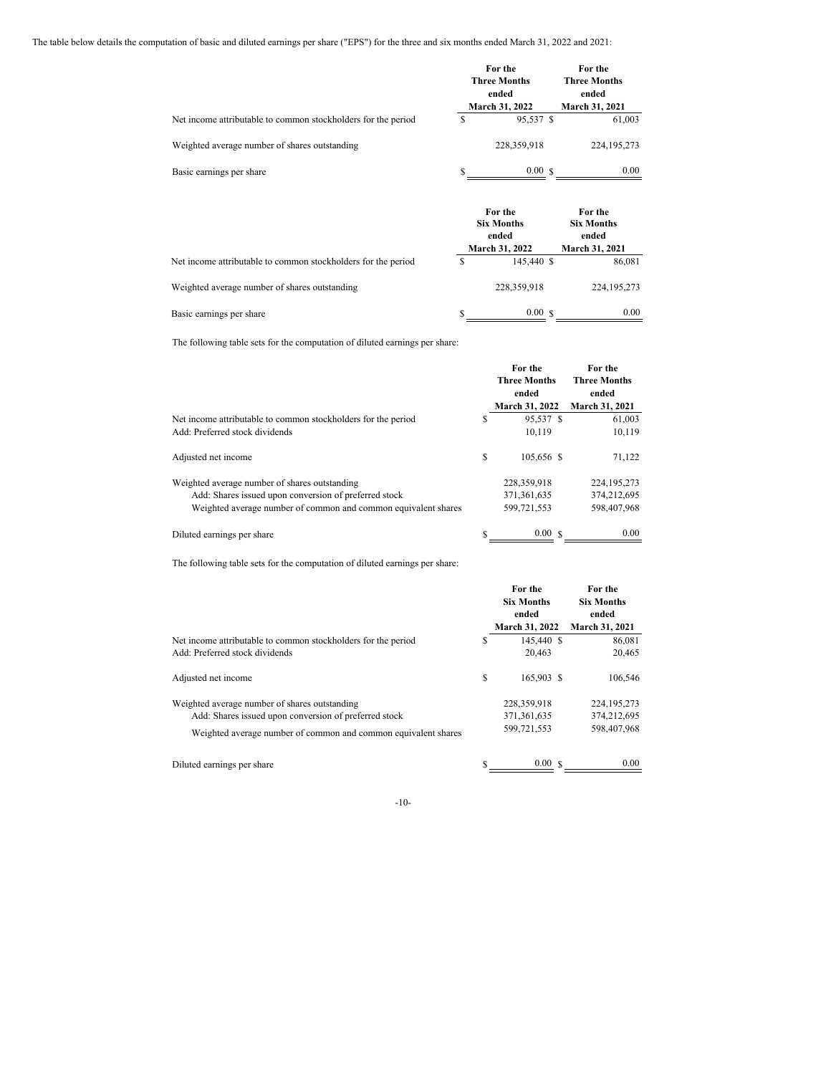The table below details the computation of basic and diluted earnings per share ("EPS") for the three and six months ended March 31, 2022 and 2021:

|                                                               |   | For the<br><b>Three Months</b><br>ended<br>March 31, 2022 | For the<br><b>Three Months</b><br>ended<br>March 31, 2021 |
|---------------------------------------------------------------|---|-----------------------------------------------------------|-----------------------------------------------------------|
| Net income attributable to common stockholders for the period | S | 95,537 \$                                                 | 61,003                                                    |
| Weighted average number of shares outstanding                 |   | 228,359,918                                               | 224, 195, 273                                             |
| Basic earnings per share                                      |   | 0.00 S                                                    | 0.00                                                      |
|                                                               |   | For the<br><b>Six Months</b><br>ended<br>March 31, 2022   | For the<br><b>Six Months</b><br>ended<br>March 31, 2021   |
| Net income attributable to common stockholders for the period | S | 145,440 \$                                                | 86,081                                                    |
| Weighted average number of shares outstanding                 |   | 228,359,918                                               | 224, 195, 273                                             |

Basic earnings per share  $s = 0.00 \text{ s} = 0.00$ 

The following table sets for the computation of diluted earnings per share:

|                                                                |    | For the<br><b>Three Months</b><br>ended<br>March 31, 2022 | For the<br><b>Three Months</b><br>ended<br>March 31, 2021 |
|----------------------------------------------------------------|----|-----------------------------------------------------------|-----------------------------------------------------------|
| Net income attributable to common stockholders for the period  | S  | 95,537 \$                                                 | 61,003                                                    |
| Add: Preferred stock dividends                                 |    | 10.119                                                    | 10.119                                                    |
| Adjusted net income                                            | S  | 105,656 \$                                                | 71,122                                                    |
| Weighted average number of shares outstanding                  |    | 228,359,918                                               | 224, 195, 273                                             |
| Add: Shares issued upon conversion of preferred stock          |    | 371, 361, 635                                             | 374,212,695                                               |
| Weighted average number of common and common equivalent shares |    | 599,721,553                                               | 598,407,968                                               |
| Diluted earnings per share                                     | \$ | $0.00 \text{ s}$                                          | 0.00                                                      |

The following table sets for the computation of diluted earnings per share:

|                                                                |   | For the<br><b>Six Months</b><br>ended<br>March 31, 2022 | For the<br><b>Six Months</b><br>ended<br>March 31, 2021 |
|----------------------------------------------------------------|---|---------------------------------------------------------|---------------------------------------------------------|
| Net income attributable to common stockholders for the period  | S | 145,440 \$                                              | 86,081                                                  |
| Add: Preferred stock dividends                                 |   | 20.463                                                  | 20.465                                                  |
| Adjusted net income                                            | S | 165,903 \$                                              | 106,546                                                 |
| Weighted average number of shares outstanding                  |   | 228,359,918                                             | 224, 195, 273                                           |
| Add: Shares issued upon conversion of preferred stock          |   | 371, 361, 635                                           | 374,212,695                                             |
| Weighted average number of common and common equivalent shares |   | 599,721,553                                             | 598,407,968                                             |
| Diluted earnings per share                                     |   | $0.00 \text{ s}$                                        | 0.00                                                    |

-10-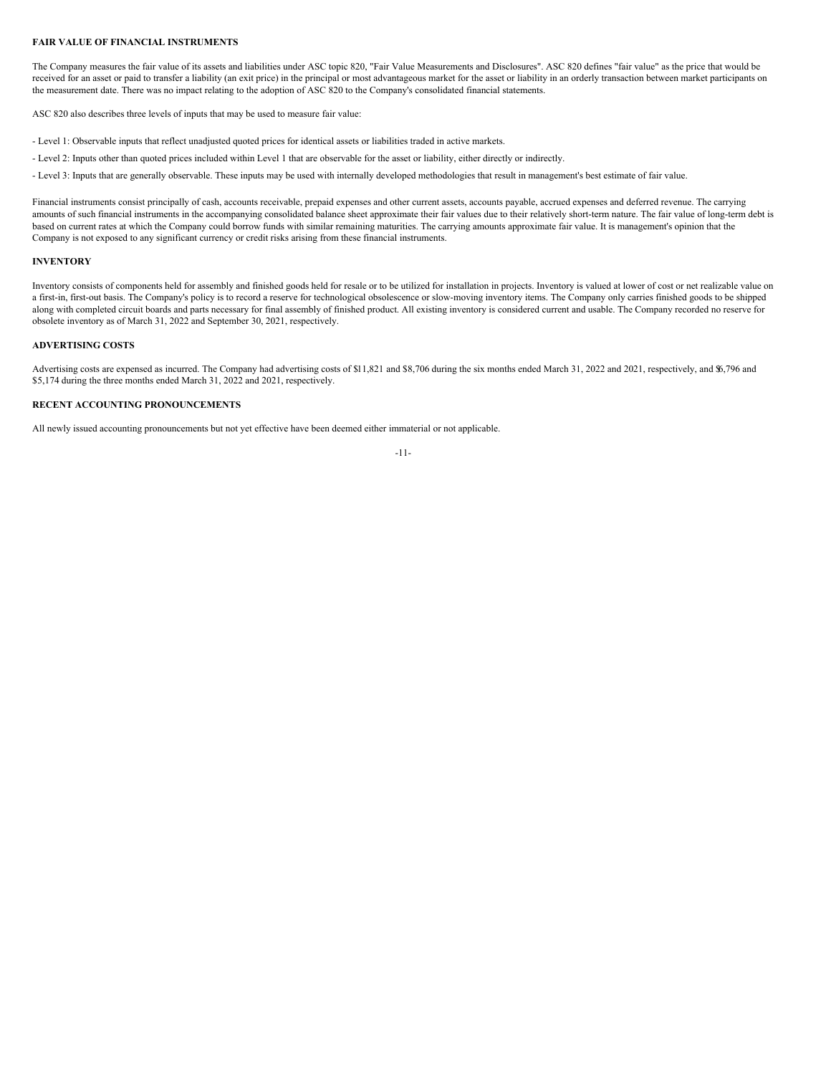## **FAIR VALUE OF FINANCIAL INSTRUMENTS**

The Company measures the fair value of its assets and liabilities under ASC topic 820, "Fair Value Measurements and Disclosures". ASC 820 defines "fair value" as the price that would be received for an asset or paid to transfer a liability (an exit price) in the principal or most advantageous market for the asset or liability in an orderly transaction between market participants on the measurement date. There was no impact relating to the adoption of ASC 820 to the Company's consolidated financial statements.

ASC 820 also describes three levels of inputs that may be used to measure fair value:

- Level 1: Observable inputs that reflect unadjusted quoted prices for identical assets or liabilities traded in active markets.
- Level 2: Inputs other than quoted prices included within Level 1 that are observable for the asset or liability, either directly or indirectly.
- Level 3: Inputs that are generally observable. These inputs may be used with internally developed methodologies that result in management's best estimate of fair value.

Financial instruments consist principally of cash, accounts receivable, prepaid expenses and other current assets, accounts payable, accrued expenses and deferred revenue. The carrying amounts of such financial instruments in the accompanying consolidated balance sheet approximate their fair values due to their relatively short-term nature. The fair value of long-term debt is based on current rates at which the Company could borrow funds with similar remaining maturities. The carrying amounts approximate fair value. It is management's opinion that the Company is not exposed to any significant currency or credit risks arising from these financial instruments.

#### **INVENTORY**

Inventory consists of components held for assembly and finished goods held for resale or to be utilized for installation in projects. Inventory is valued at lower of cost or net realizable value on a first-in, first-out basis. The Company's policy is to record a reserve for technological obsolescence or slow-moving inventory items. The Company only carries finished goods to be shipped along with completed circuit boards and parts necessary for final assembly of finished product. All existing inventory is considered current and usable. The Company recorded no reserve for obsolete inventory as of March 31, 2022 and September 30, 2021, respectively.

## **ADVERTISING COSTS**

Advertising costs are expensed as incurred. The Company had advertising costs of \$11,821 and \$8,706 during the six months ended March 31, 2022 and 2021, respectively, and \$6,796 and \$5,174 during the three months ended March 31, 2022 and 2021, respectively.

## **RECENT ACCOUNTING PRONOUNCEMENTS**

All newly issued accounting pronouncements but not yet effective have been deemed either immaterial or not applicable.

-11-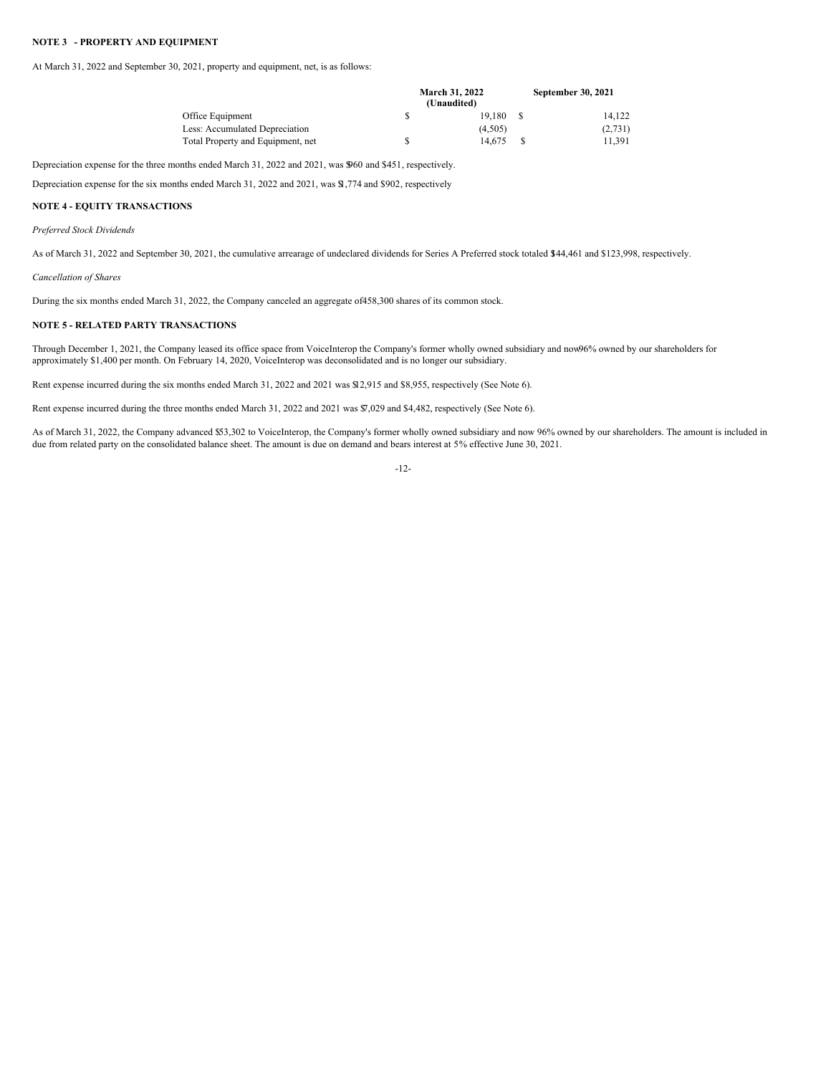## **NOTE 3 - PROPERTY AND EQUIPMENT**

At March 31, 2022 and September 30, 2021, property and equipment, net, is as follows:

|                                   | March 31, 2022<br>(Unaudited) |         | <b>September 30, 2021</b> |         |  |
|-----------------------------------|-------------------------------|---------|---------------------------|---------|--|
| Office Equipment                  |                               | 19.180  |                           | 14.122  |  |
| Less: Accumulated Depreciation    |                               | (4.505) |                           | (2.731) |  |
| Total Property and Equipment, net |                               | 14.675  |                           | 11.391  |  |

Depreciation expense for the three months ended March 31, 2022 and 2021, was \$960 and \$451, respectively.

Depreciation expense for the six months ended March 31, 2022 and 2021, was \$1,774 and \$902, respectively

#### **NOTE 4 - EQUITY TRANSACTIONS**

*Preferred Stock Dividends*

As of March 31, 2022 and September 30, 2021, the cumulative arrearage of undeclared dividends for Series A Preferred stock totaled \$144,461 and \$123,998, respectively.

#### *Cancellation of Shares*

During the six months ended March 31, 2022, the Company canceled an aggregate of458,300 shares of its common stock.

#### **NOTE 5 - RELATED PARTY TRANSACTIONS**

Through December 1, 2021, the Company leased its office space from VoiceInterop the Company's former wholly owned subsidiary and now96% owned by our shareholders for approximately \$1,400 per month. On February 14, 2020, VoiceInterop was deconsolidated and is no longer our subsidiary.

Rent expense incurred during the six months ended March 31, 2022 and 2021 was \$12,915 and \$8,955, respectively (See Note 6).

Rent expense incurred during the three months ended March 31, 2022 and 2021 was \$7,029 and \$4,482, respectively (See Note 6).

As of March 31, 2022, the Company advanced \$53,302 to VoiceInterop, the Company's former wholly owned subsidiary and now 96% owned by our shareholders. The amount is included in due from related party on the consolidated balance sheet. The amount is due on demand and bears interest at 5% effective June 30, 2021.

# -12-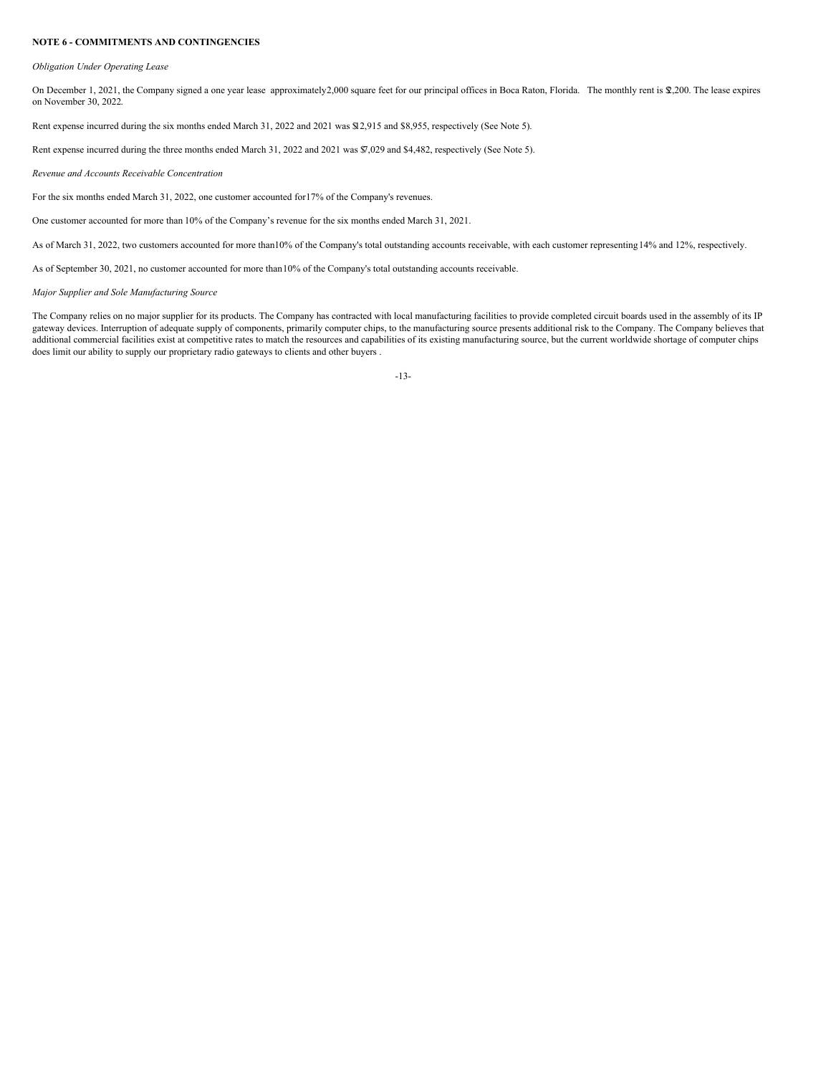#### **NOTE 6 - COMMITMENTS AND CONTINGENCIES**

*Obligation Under Operating Lease*

On December 1, 2021, the Company signed a one year lease approximately2,000 square feet for our principal offices in Boca Raton, Florida. The monthly rent is \$2,200. The lease expires on November 30, 2022.

Rent expense incurred during the six months ended March 31, 2022 and 2021 was \$12,915 and \$8,955, respectively (See Note 5).

Rent expense incurred during the three months ended March 31, 2022 and 2021 was \$7,029 and \$4,482, respectively (See Note 5).

*Revenue and Accounts Receivable Concentration*

For the six months ended March 31, 2022, one customer accounted for17% of the Company's revenues.

One customer accounted for more than 10% of the Company's revenue for the six months ended March 31, 2021.

As of March 31, 2022, two customers accounted for more than10% of the Company's total outstanding accounts receivable, with each customer representing14% and 12%, respectively.

As of September 30, 2021, no customer accounted for more than10% of the Company's total outstanding accounts receivable.

#### *Major Supplier and Sole Manufacturing Source*

The Company relies on no major supplier for its products. The Company has contracted with local manufacturing facilities to provide completed circuit boards used in the assembly of its IP gateway devices. Interruption of adequate supply of components, primarily computer chips, to the manufacturing source presents additional risk to the Company. The Company believes that additional commercial facilities exist at competitive rates to match the resources and capabilities of its existing manufacturing source, but the current worldwide shortage of computer chips does limit our ability to supply our proprietary radio gateways to clients and other buyers .

-13-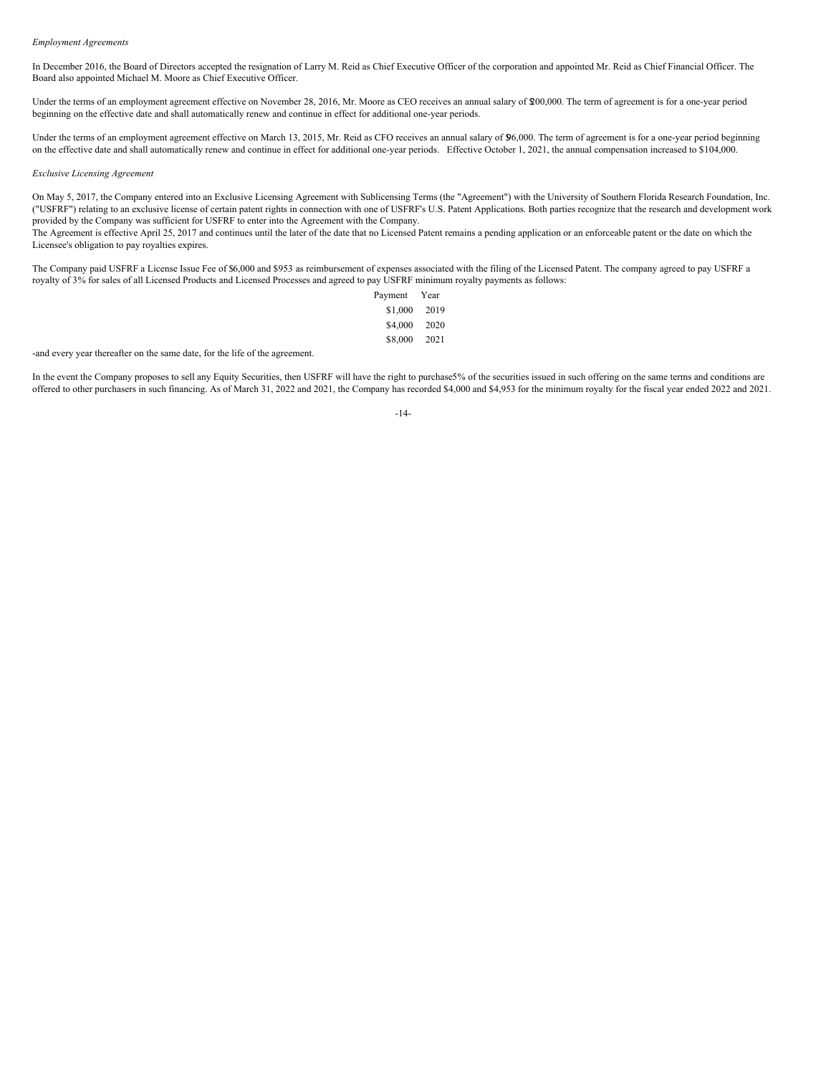#### *Employment Agreements*

In December 2016, the Board of Directors accepted the resignation of Larry M. Reid as Chief Executive Officer of the corporation and appointed Mr. Reid as Chief Financial Officer. The Board also appointed Michael M. Moore as Chief Executive Officer.

Under the terms of an employment agreement effective on November 28, 2016, Mr. Moore as CEO receives an annual salary of \$00,000. The term of agreement is for a one-year period beginning on the effective date and shall automatically renew and continue in effect for additional one-year periods.

Under the terms of an employment agreement effective on March 13, 2015, Mr. Reid as CFO receives an annual salary of \$6,000. The term of agreement is for a one-year period beginning on the effective date and shall automatically renew and continue in effect for additional one-year periods. Effective October 1, 2021, the annual compensation increased to \$104,000.

#### *Exclusive Licensing Agreement*

On May 5, 2017, the Company entered into an Exclusive Licensing Agreement with Sublicensing Terms (the "Agreement") with the University of Southern Florida Research Foundation, Inc. ("USFRF") relating to an exclusive license of certain patent rights in connection with one of USFRF's U.S. Patent Applications. Both parties recognize that the research and development work provided by the Company was sufficient for USFRF to enter into the Agreement with the Company.

The Agreement is effective April 25, 2017 and continues until the later of the date that no Licensed Patent remains a pending application or an enforceable patent or the date on which the Licensee's obligation to pay royalties expires.

The Company paid USFRF a License Issue Fee of \$6,000 and \$953 as reimbursement of expenses associated with the filing of the Licensed Patent. The company agreed to pay USFRF a royalty of 3% for sales of all Licensed Products and Licensed Processes and agreed to pay USFRF minimum royalty payments as follows:

| Payment | Year |
|---------|------|
| \$1,000 | 2019 |
| \$4,000 | 2020 |
| \$8,000 | 2021 |

-and every year thereafter on the same date, for the life of the agreement.

In the event the Company proposes to sell any Equity Securities, then USFRF will have the right to purchase5% of the securities issued in such offering on the same terms and conditions are offered to other purchasers in such financing. As of March 31, 2022 and 2021, the Company has recorded \$4,000 and \$4,953 for the minimum royalty for the fiscal year ended 2022 and 2021.

-14-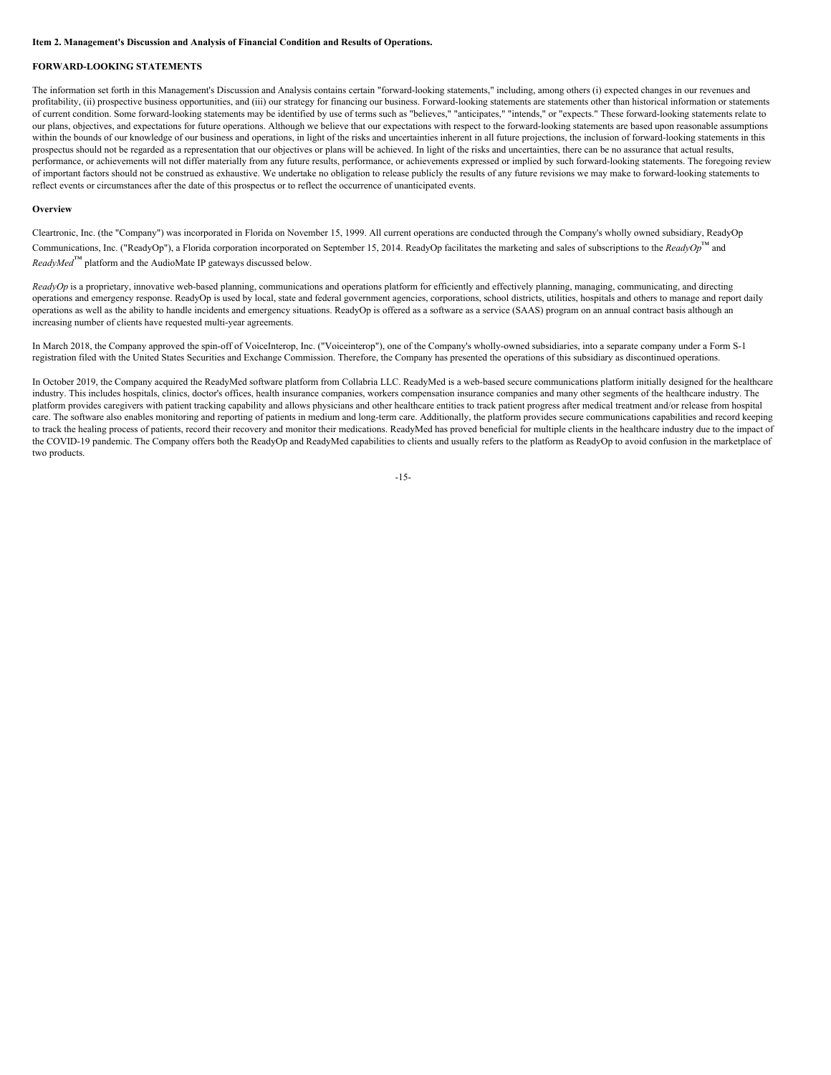## **Item 2. Management's Discussion and Analysis of Financial Condition and Results of Operations.**

## **FORWARD-LOOKING STATEMENTS**

The information set forth in this Management's Discussion and Analysis contains certain "forward-looking statements," including, among others (i) expected changes in our revenues and profitability, (ii) prospective business opportunities, and (iii) our strategy for financing our business. Forward-looking statements are statements other than historical information or statements of current condition. Some forward-looking statements may be identified by use of terms such as "believes," "anticipates," "intends," or "expects." These forward-looking statements relate to our plans, objectives, and expectations for future operations. Although we believe that our expectations with respect to the forward-looking statements are based upon reasonable assumptions within the bounds of our knowledge of our business and operations, in light of the risks and uncertainties inherent in all future projections, the inclusion of forward-looking statements in this prospectus should not be regarded as a representation that our objectives or plans will be achieved. In light of the risks and uncertainties, there can be no assurance that actual results, performance, or achievements will not differ materially from any future results, performance, or achievements expressed or implied by such forward-looking statements. The foregoing review of important factors should not be construed as exhaustive. We undertake no obligation to release publicly the results of any future revisions we may make to forward-looking statements to reflect events or circumstances after the date of this prospectus or to reflect the occurrence of unanticipated events.

#### **Overview**

Cleartronic, Inc. (the "Company") was incorporated in Florida on November 15, 1999. All current operations are conducted through the Company's wholly owned subsidiary, ReadyOp Communications, Inc. ("ReadyOp"), a Florida corporation incorporated on September 15, 2014. ReadyOp facilitates the marketing and sales of subscriptions to the *ReadyOp*™ and *ReadyMed*™ platform and the AudioMate IP gateways discussed below.

*ReadyOp* is a proprietary, innovative web-based planning, communications and operations platform for efficiently and effectively planning, managing, communicating, and directing operations and emergency response. ReadyOp is used by local, state and federal government agencies, corporations, school districts, utilities, hospitals and others to manage and report daily operations as well as the ability to handle incidents and emergency situations. ReadyOp is offered as a software as a service (SAAS) program on an annual contract basis although an increasing number of clients have requested multi-year agreements.

In March 2018, the Company approved the spin-off of VoiceInterop, Inc. ("Voiceinterop"), one of the Company's wholly-owned subsidiaries, into a separate company under a Form S-1 registration filed with the United States Securities and Exchange Commission. Therefore, the Company has presented the operations of this subsidiary as discontinued operations.

In October 2019, the Company acquired the ReadyMed software platform from Collabria LLC. ReadyMed is a web-based secure communications platform initially designed for the healthcare industry. This includes hospitals, clinics, doctor's offices, health insurance companies, workers compensation insurance companies and many other segments of the healthcare industry. The platform provides caregivers with patient tracking capability and allows physicians and other healthcare entities to track patient progress after medical treatment and/or release from hospital care. The software also enables monitoring and reporting of patients in medium and long-term care. Additionally, the platform provides secure communications capabilities and record keeping to track the healing process of patients, record their recovery and monitor their medications. ReadyMed has proved beneficial for multiple clients in the healthcare industry due to the impact of the COVID-19 pandemic. The Company offers both the ReadyOp and ReadyMed capabilities to clients and usually refers to the platform as ReadyOp to avoid confusion in the marketplace of two products.

$$
-15-
$$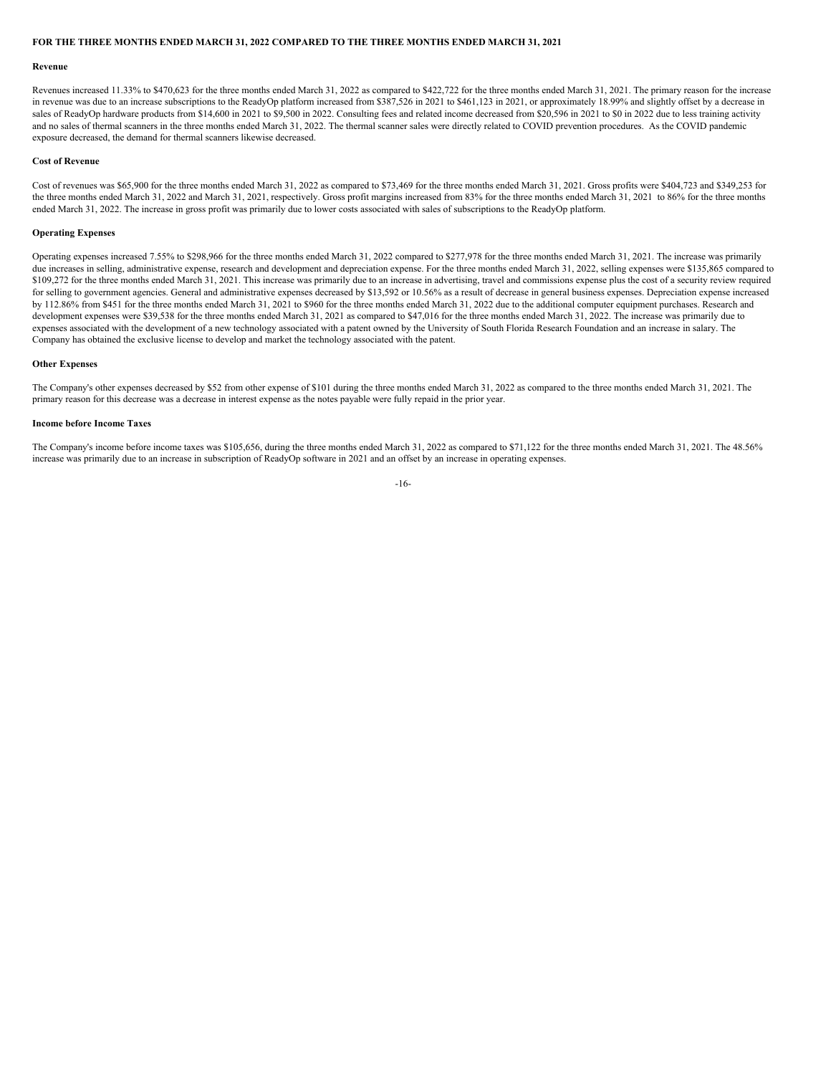#### **FOR THE THREE MONTHS ENDED MARCH 31, 2022 COMPARED TO THE THREE MONTHS ENDED MARCH 31, 2021**

#### **Revenue**

Revenues increased 11.33% to \$470,623 for the three months ended March 31, 2022 as compared to \$422,722 for the three months ended March 31, 2021. The primary reason for the increase in revenue was due to an increase subscriptions to the ReadyOp platform increased from \$387,526 in 2021 to \$461,123 in 2021, or approximately 18.99% and slightly offset by a decrease in sales of ReadyOp hardware products from \$14,600 in 2021 to \$9,500 in 2022. Consulting fees and related income decreased from \$20,596 in 2021 to \$0 in 2022 due to less training activity and no sales of thermal scanners in the three months ended March 31, 2022. The thermal scanner sales were directly related to COVID prevention procedures. As the COVID pandemic exposure decreased, the demand for thermal scanners likewise decreased.

## **Cost of Revenue**

Cost of revenues was \$65,900 for the three months ended March 31, 2022 as compared to \$73,469 for the three months ended March 31, 2021. Gross profits were \$404,723 and \$349,253 for the three months ended March 31, 2022 and March 31, 2021, respectively. Gross profit margins increased from 83% for the three months ended March 31, 2021 to 86% for the three months ended March 31, 2022. The increase in gross profit was primarily due to lower costs associated with sales of subscriptions to the ReadyOp platform.

#### **Operating Expenses**

Operating expenses increased 7.55% to \$298,966 for the three months ended March 31, 2022 compared to \$277,978 for the three months ended March 31, 2021. The increase was primarily due increases in selling, administrative expense, research and development and depreciation expense. For the three months ended March 31, 2022, selling expenses were \$135,865 compared to \$109,272 for the three months ended March 31, 2021. This increase was primarily due to an increase in advertising, travel and commissions expense plus the cost of a security review required for selling to government agencies. General and administrative expenses decreased by \$13,592 or 10.56% as a result of decrease in general business expenses. Depreciation expense increased by 112.86% from \$451 for the three months ended March 31, 2021 to \$960 for the three months ended March 31, 2022 due to the additional computer equipment purchases. Research and development expenses were \$39,538 for the three months ended March 31, 2021 as compared to \$47,016 for the three months ended March 31, 2022. The increase was primarily due to expenses associated with the development of a new technology associated with a patent owned by the University of South Florida Research Foundation and an increase in salary. The Company has obtained the exclusive license to develop and market the technology associated with the patent.

#### **Other Expenses**

The Company's other expenses decreased by \$52 from other expense of \$101 during the three months ended March 31, 2022 as compared to the three months ended March 31, 2021. The primary reason for this decrease was a decrease in interest expense as the notes payable were fully repaid in the prior year.

## **Income before Income Taxes**

The Company's income before income taxes was \$105,656, during the three months ended March 31, 2022 as compared to \$71,122 for the three months ended March 31, 2021. The 48.56% increase was primarily due to an increase in subscription of ReadyOp software in 2021 and an offset by an increase in operating expenses.

-16-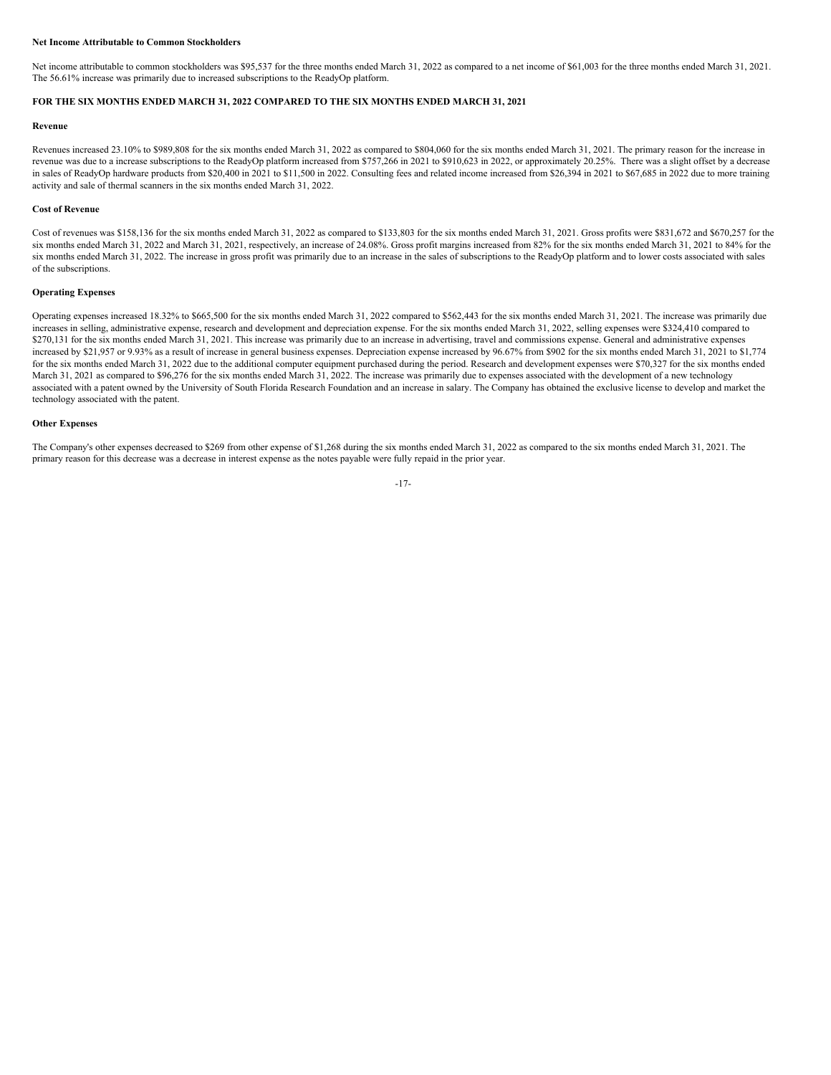#### **Net Income Attributable to Common Stockholders**

Net income attributable to common stockholders was \$95,537 for the three months ended March 31, 2022 as compared to a net income of \$61,003 for the three months ended March 31, 2021. The 56.61% increase was primarily due to increased subscriptions to the ReadyOp platform.

## **FOR THE SIX MONTHS ENDED MARCH 31, 2022 COMPARED TO THE SIX MONTHS ENDED MARCH 31, 2021**

## **Revenue**

Revenues increased 23.10% to \$989,808 for the six months ended March 31, 2022 as compared to \$804,060 for the six months ended March 31, 2021. The primary reason for the increase in revenue was due to a increase subscriptions to the ReadyOp platform increased from \$757,266 in 2021 to \$910,623 in 2022, or approximately 20.25%. There was a slight offset by a decrease in sales of ReadyOp hardware products from \$20,400 in 2021 to \$11,500 in 2022. Consulting fees and related income increased from \$26,394 in 2021 to \$67,685 in 2022 due to more training activity and sale of thermal scanners in the six months ended March 31, 2022.

#### **Cost of Revenue**

Cost of revenues was \$158,136 for the six months ended March 31, 2022 as compared to \$133,803 for the six months ended March 31, 2021. Gross profits were \$831,672 and \$670,257 for the six months ended March 31, 2022 and March 31, 2021, respectively, an increase of 24.08%. Gross profit margins increased from 82% for the six months ended March 31, 2021 to 84% for the six months ended March 31, 2022. The increase in gross profit was primarily due to an increase in the sales of subscriptions to the ReadyOp platform and to lower costs associated with sales of the subscriptions.

#### **Operating Expenses**

Operating expenses increased 18.32% to \$665,500 for the six months ended March 31, 2022 compared to \$562,443 for the six months ended March 31, 2021. The increase was primarily due increases in selling, administrative expense, research and development and depreciation expense. For the six months ended March 31, 2022, selling expenses were \$324,410 compared to \$270,131 for the six months ended March 31, 2021. This increase was primarily due to an increase in advertising, travel and commissions expense. General and administrative expenses increased by \$21,957 or 9.93% as a result of increase in general business expenses. Depreciation expense increased by 96.67% from \$902 for the six months ended March 31, 2021 to \$1,774 for the six months ended March 31, 2022 due to the additional computer equipment purchased during the period. Research and development expenses were \$70,327 for the six months ended March 31, 2021 as compared to \$96,276 for the six months ended March 31, 2022. The increase was primarily due to expenses associated with the development of a new technology associated with a patent owned by the University of South Florida Research Foundation and an increase in salary. The Company has obtained the exclusive license to develop and market the technology associated with the patent.

### **Other Expenses**

The Company's other expenses decreased to \$269 from other expense of \$1,268 during the six months ended March 31, 2022 as compared to the six months ended March 31, 2021. The primary reason for this decrease was a decrease in interest expense as the notes payable were fully repaid in the prior year.

-17-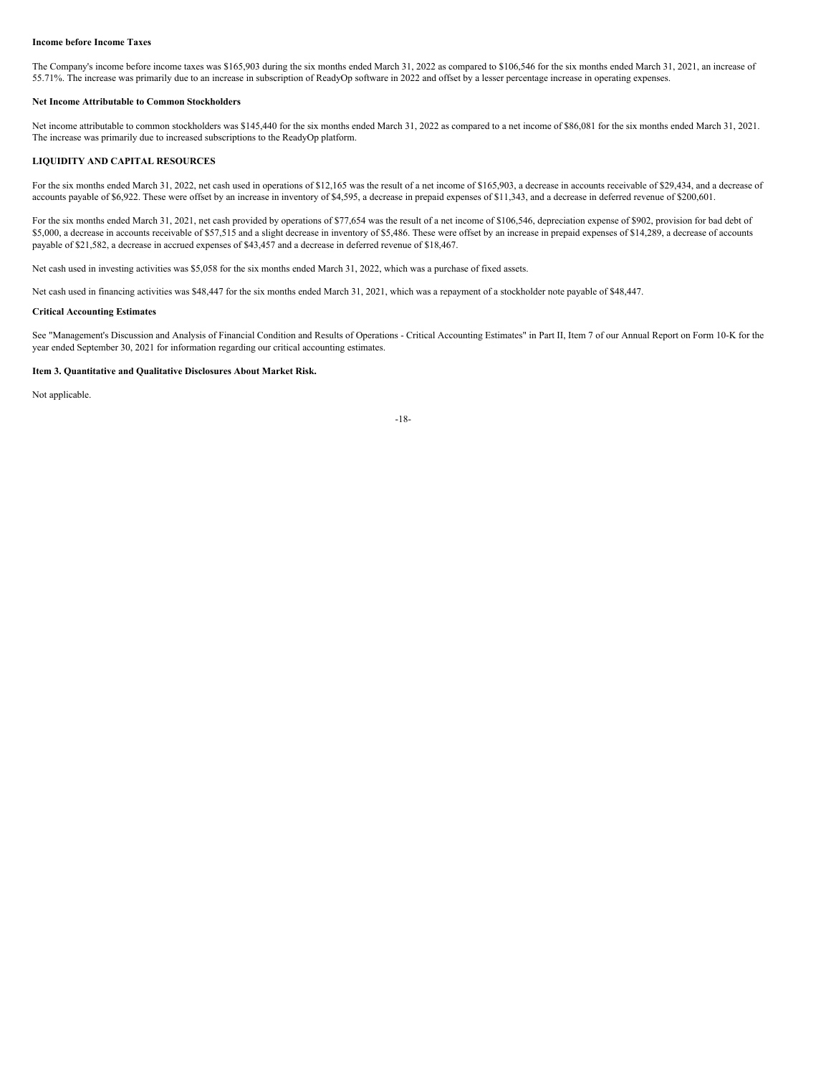## **Income before Income Taxes**

The Company's income before income taxes was \$165,903 during the six months ended March 31, 2022 as compared to \$106,546 for the six months ended March 31, 2021, an increase of 55.71%. The increase was primarily due to an increase in subscription of ReadyOp software in 2022 and offset by a lesser percentage increase in operating expenses.

## **Net Income Attributable to Common Stockholders**

Net income attributable to common stockholders was \$145,440 for the six months ended March 31, 2022 as compared to a net income of \$86,081 for the six months ended March 31, 2021. The increase was primarily due to increased subscriptions to the ReadyOp platform.

#### **LIQUIDITY AND CAPITAL RESOURCES**

For the six months ended March 31, 2022, net cash used in operations of \$12,165 was the result of a net income of \$165,903, a decrease in accounts receivable of \$29,434, and a decrease of accounts payable of \$6,922. These were offset by an increase in inventory of \$4,595, a decrease in prepaid expenses of \$11,343, and a decrease in deferred revenue of \$200,601.

For the six months ended March 31, 2021, net cash provided by operations of \$77,654 was the result of a net income of \$106,546, depreciation expense of \$902, provision for bad debt of \$5,000, a decrease in accounts receivable of \$57,515 and a slight decrease in inventory of \$5,486. These were offset by an increase in prepaid expenses of \$14,289, a decrease of accounts payable of \$21,582, a decrease in accrued expenses of \$43,457 and a decrease in deferred revenue of \$18,467.

Net cash used in investing activities was \$5,058 for the six months ended March 31, 2022, which was a purchase of fixed assets.

Net cash used in financing activities was \$48,447 for the six months ended March 31, 2021, which was a repayment of a stockholder note payable of \$48,447.

#### **Critical Accounting Estimates**

See "Management's Discussion and Analysis of Financial Condition and Results of Operations - Critical Accounting Estimates" in Part II, Item 7 of our Annual Report on Form 10-K for the year ended September 30, 2021 for information regarding our critical accounting estimates.

#### **Item 3. Quantitative and Qualitative Disclosures About Market Risk.**

Not applicable.

-18-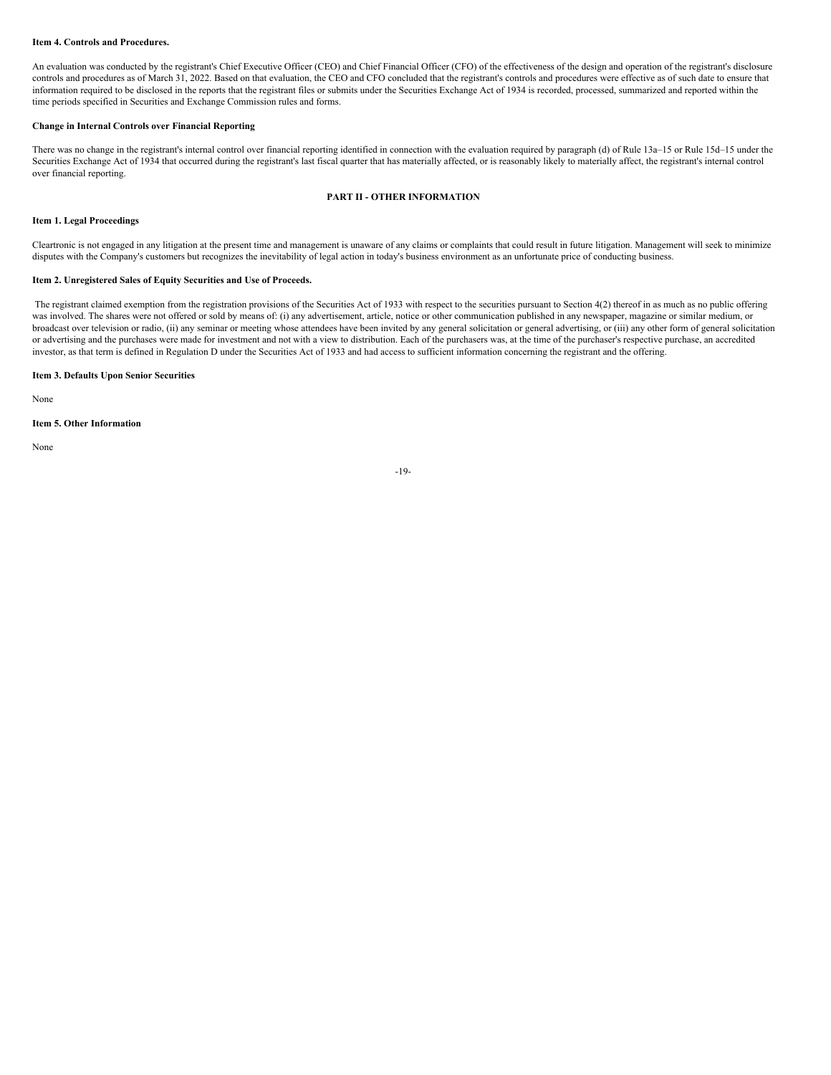## **Item 4. Controls and Procedures.**

An evaluation was conducted by the registrant's Chief Executive Officer (CEO) and Chief Financial Officer (CFO) of the effectiveness of the design and operation of the registrant's disclosure controls and procedures as of March 31, 2022. Based on that evaluation, the CEO and CFO concluded that the registrant's controls and procedures were effective as of such date to ensure that information required to be disclosed in the reports that the registrant files or submits under the Securities Exchange Act of 1934 is recorded, processed, summarized and reported within the time periods specified in Securities and Exchange Commission rules and forms.

## **Change in Internal Controls over Financial Reporting**

There was no change in the registrant's internal control over financial reporting identified in connection with the evaluation required by paragraph (d) of Rule 13a–15 or Rule 15d–15 under the Securities Exchange Act of 1934 that occurred during the registrant's last fiscal quarter that has materially affected, or is reasonably likely to materially affect, the registrant's internal control over financial reporting.

#### **PART II - OTHER INFORMATION**

#### **Item 1. Legal Proceedings**

Cleartronic is not engaged in any litigation at the present time and management is unaware of any claims or complaints that could result in future litigation. Management will seek to minimize disputes with the Company's customers but recognizes the inevitability of legal action in today's business environment as an unfortunate price of conducting business.

#### **Item 2. Unregistered Sales of Equity Securities and Use of Proceeds.**

The registrant claimed exemption from the registration provisions of the Securities Act of 1933 with respect to the securities pursuant to Section 4(2) thereof in as much as no public offering was involved. The shares were not offered or sold by means of: (i) any advertisement, article, notice or other communication published in any newspaper, magazine or similar medium, or broadcast over television or radio, (ii) any seminar or meeting whose attendees have been invited by any general solicitation or general advertising, or (iii) any other form of general solicitation or advertising and the purchases were made for investment and not with a view to distribution. Each of the purchasers was, at the time of the purchaser's respective purchase, an accredited investor, as that term is defined in Regulation D under the Securities Act of 1933 and had access to sufficient information concerning the registrant and the offering.

#### **Item 3. Defaults Upon Senior Securities**

None

## **Item 5. Other Information**

None

-19-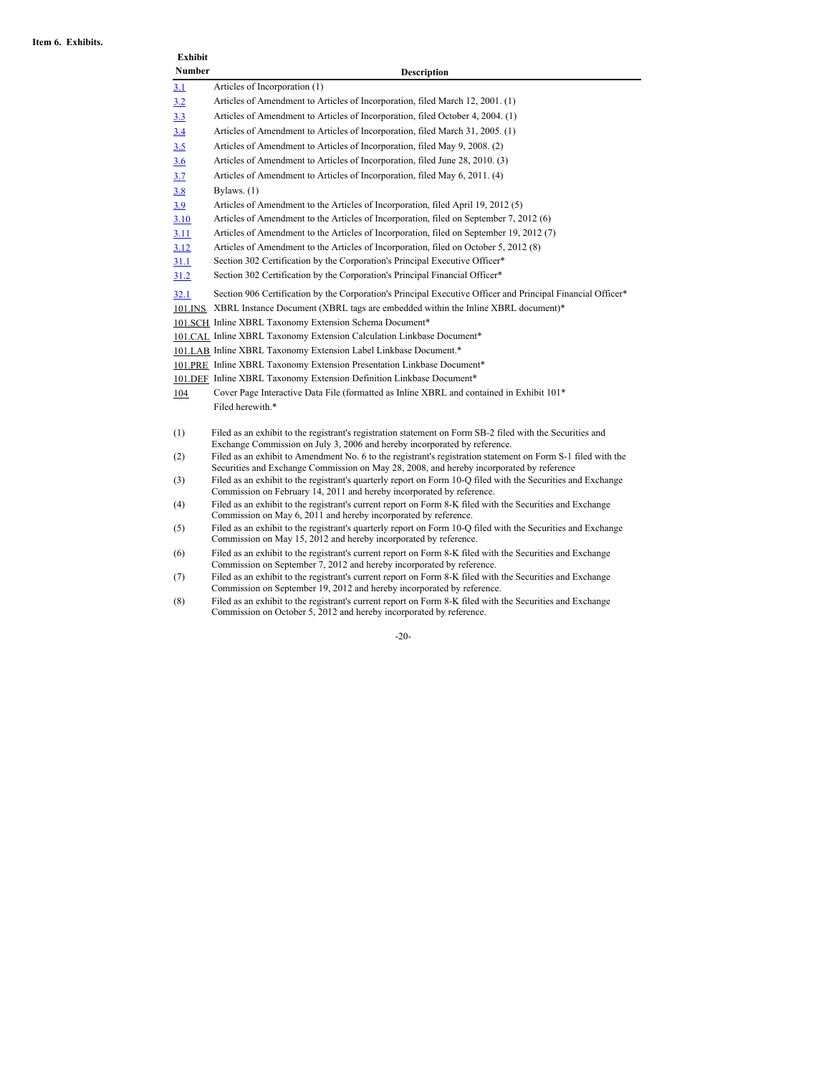**Item 6. Exhibits.**

| <b>Exhibit</b> |                                                                                                                                                                                                          |
|----------------|----------------------------------------------------------------------------------------------------------------------------------------------------------------------------------------------------------|
| Number         | <b>Description</b>                                                                                                                                                                                       |
| 3.1            | Articles of Incorporation (1)                                                                                                                                                                            |
| 3.2            | Articles of Amendment to Articles of Incorporation, filed March 12, 2001. (1)                                                                                                                            |
| 3.3            | Articles of Amendment to Articles of Incorporation, filed October 4, 2004. (1)                                                                                                                           |
| 3.4            | Articles of Amendment to Articles of Incorporation, filed March 31, 2005. (1)                                                                                                                            |
| 3.5            | Articles of Amendment to Articles of Incorporation, filed May 9, 2008. (2)                                                                                                                               |
| 3.6            | Articles of Amendment to Articles of Incorporation, filed June 28, 2010. (3)                                                                                                                             |
| 3.7            | Articles of Amendment to Articles of Incorporation, filed May 6, 2011. (4)                                                                                                                               |
| 3.8            | Bylaws. $(1)$                                                                                                                                                                                            |
| 3.9            | Articles of Amendment to the Articles of Incorporation, filed April 19, 2012 (5)                                                                                                                         |
| 3.10           | Articles of Amendment to the Articles of Incorporation, filed on September 7, 2012 (6)                                                                                                                   |
| 3.11           | Articles of Amendment to the Articles of Incorporation, filed on September 19, 2012 (7)                                                                                                                  |
| 3.12           | Articles of Amendment to the Articles of Incorporation, filed on October 5, 2012 (8)                                                                                                                     |
| 31.1           | Section 302 Certification by the Corporation's Principal Executive Officer*                                                                                                                              |
| 31.2           | Section 302 Certification by the Corporation's Principal Financial Officer*                                                                                                                              |
| 32.1           | Section 906 Certification by the Corporation's Principal Executive Officer and Principal Financial Officer*                                                                                              |
|                | 101.INS XBRL Instance Document (XBRL tags are embedded within the Inline XBRL document)*                                                                                                                 |
|                | 101.SCH Inline XBRL Taxonomy Extension Schema Document*                                                                                                                                                  |
|                | 101.CAL Inline XBRL Taxonomy Extension Calculation Linkbase Document*                                                                                                                                    |
|                | 101.LAB Inline XBRL Taxonomy Extension Label Linkbase Document.*                                                                                                                                         |
|                | 101.PRE Inline XBRL Taxonomy Extension Presentation Linkbase Document*                                                                                                                                   |
|                | 101.DEF Inline XBRL Taxonomy Extension Definition Linkbase Document*                                                                                                                                     |
| 104            | Cover Page Interactive Data File (formatted as Inline XBRL and contained in Exhibit 101*                                                                                                                 |
|                | Filed herewith.*                                                                                                                                                                                         |
| (1)            | Filed as an exhibit to the registrant's registration statement on Form SB-2 filed with the Securities and<br>Exchange Commission on July 3, 2006 and hereby incorporated by reference.                   |
| (2)            | Filed as an exhibit to Amendment No. 6 to the registrant's registration statement on Form S-1 filed with the<br>Securities and Exchange Commission on May 28, 2008, and hereby incorporated by reference |
| (3)            | Filed as an exhibit to the registrant's quarterly report on Form 10-Q filed with the Securities and Exchange<br>Commission on February 14, 2011 and hereby incorporated by reference.                    |
| (4)            | Filed as an exhibit to the registrant's current report on Form 8-K filed with the Securities and Exchange<br>Commission on May 6, 2011 and hereby incorporated by reference.                             |
| (5)            | Filed as an exhibit to the registrant's quarterly report on Form 10-Q filed with the Securities and Exchange<br>Commission on May 15, 2012 and hereby incorporated by reference.                         |
| (6)            | Filed as an exhibit to the registrant's current report on Form 8-K filed with the Securities and Exchange<br>Commission on September 7, 2012 and hereby incorporated by reference.                       |
| (7)            | Filed as an exhibit to the registrant's current report on Form 8-K filed with the Securities and Exchange<br>Commission on September 19, 2012 and hereby incorporated by reference.                      |

(8) Filed as an exhibit to the registrant's current report on Form 8-K filed with the Securities and Exchange Commission on October 5, 2012 and hereby incorporated by reference.

-20-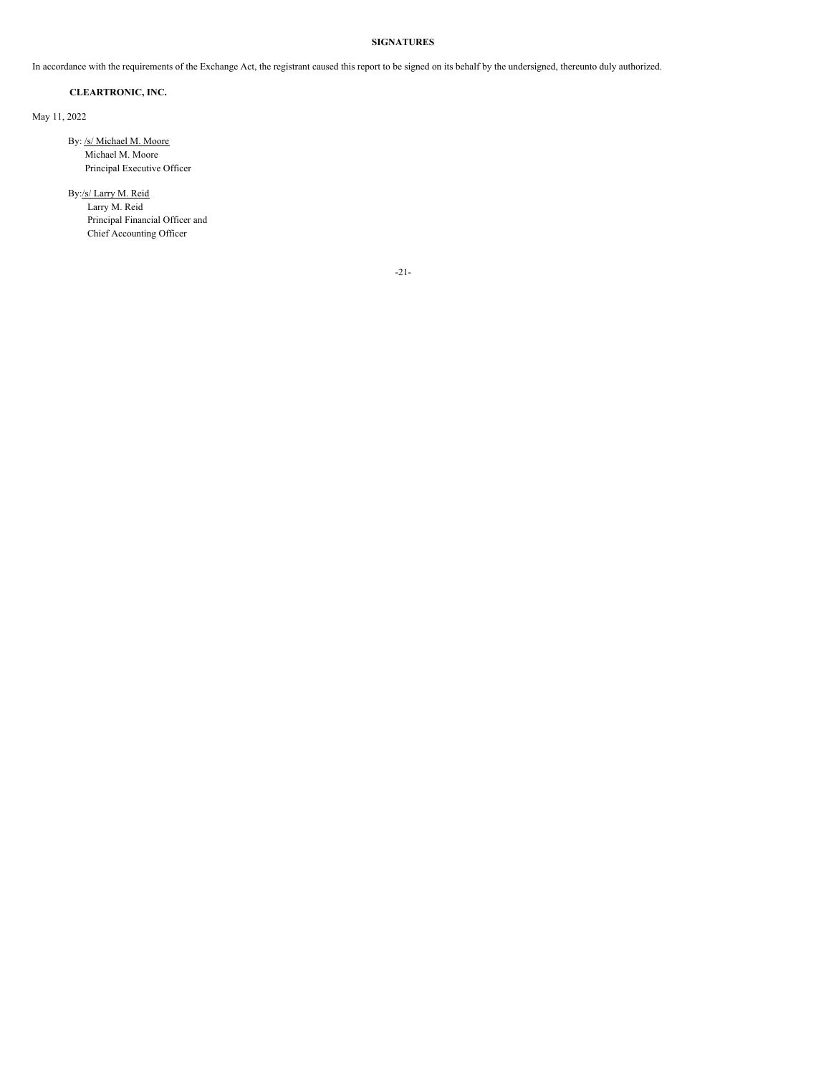# **SIGNATURES**

In accordance with the requirements of the Exchange Act, the registrant caused this report to be signed on its behalf by the undersigned, thereunto duly authorized.

# **CLEARTRONIC, INC.**

May 11, 2022

By: /s/ Michael M. Moore Michael M. Moore Principal Executive Officer

By:/s/ Larry M. Reid Larry M. Reid Principal Financial Officer and Chief Accounting Officer

-21-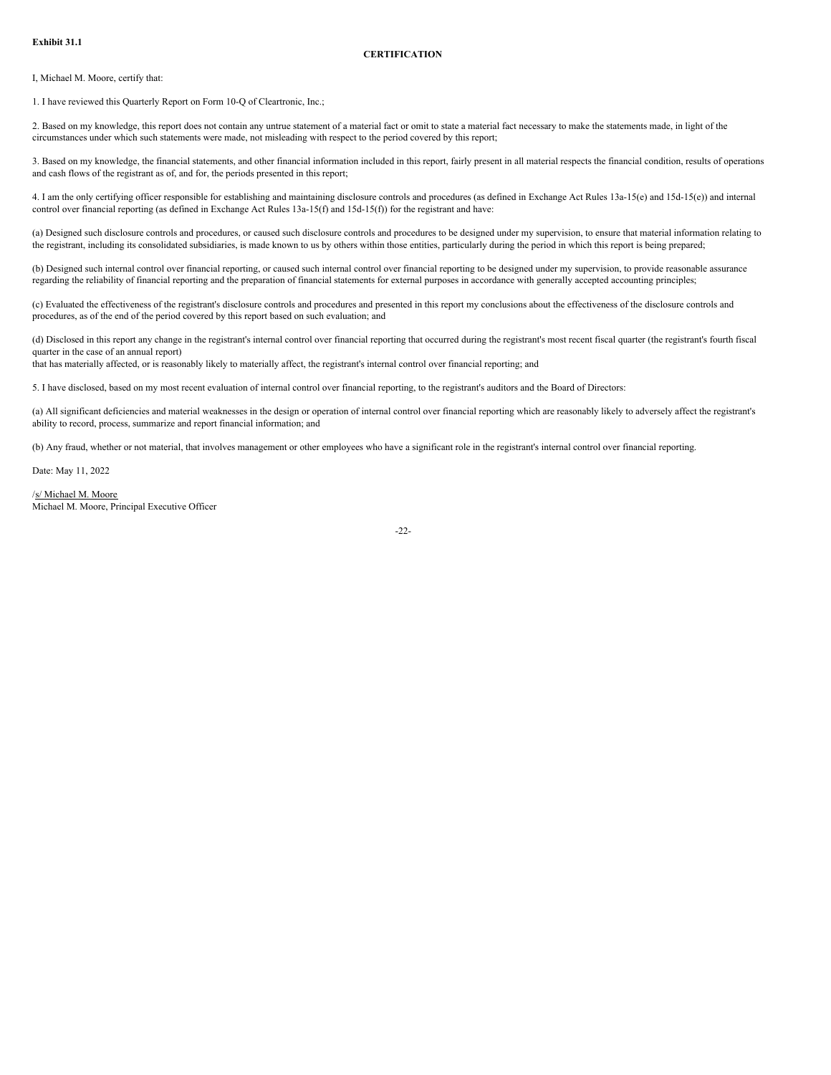#### **CERTIFICATION**

I, Michael M. Moore, certify that:

1. I have reviewed this Quarterly Report on Form 10-Q of Cleartronic, Inc.;

2. Based on my knowledge, this report does not contain any untrue statement of a material fact or omit to state a material fact necessary to make the statements made, in light of the circumstances under which such statements were made, not misleading with respect to the period covered by this report;

3. Based on my knowledge, the financial statements, and other financial information included in this report, fairly present in all material respects the financial condition, results of operations and cash flows of the registrant as of, and for, the periods presented in this report;

4. I am the only certifying officer responsible for establishing and maintaining disclosure controls and procedures (as defined in Exchange Act Rules 13a-15(e) and 15d-15(e)) and internal control over financial reporting (as defined in Exchange Act Rules 13a-15(f) and 15d-15(f)) for the registrant and have:

(a) Designed such disclosure controls and procedures, or caused such disclosure controls and procedures to be designed under my supervision, to ensure that material information relating to the registrant, including its consolidated subsidiaries, is made known to us by others within those entities, particularly during the period in which this report is being prepared;

(b) Designed such internal control over financial reporting, or caused such internal control over financial reporting to be designed under my supervision, to provide reasonable assurance regarding the reliability of financial reporting and the preparation of financial statements for external purposes in accordance with generally accepted accounting principles;

(c) Evaluated the effectiveness of the registrant's disclosure controls and procedures and presented in this report my conclusions about the effectiveness of the disclosure controls and procedures, as of the end of the period covered by this report based on such evaluation; and

(d) Disclosed in this report any change in the registrant's internal control over financial reporting that occurred during the registrant's most recent fiscal quarter (the registrant's fourth fiscal quarter in the case of an annual report)

that has materially affected, or is reasonably likely to materially affect, the registrant's internal control over financial reporting; and

5. I have disclosed, based on my most recent evaluation of internal control over financial reporting, to the registrant's auditors and the Board of Directors:

(a) All significant deficiencies and material weaknesses in the design or operation of internal control over financial reporting which are reasonably likely to adversely affect the registrant's ability to record, process, summarize and report financial information; and

(b) Any fraud, whether or not material, that involves management or other employees who have a significant role in the registrant's internal control over financial reporting.

Date: May 11, 2022

/s/ Michael M. Moore Michael M. Moore, Principal Executive Officer

-22-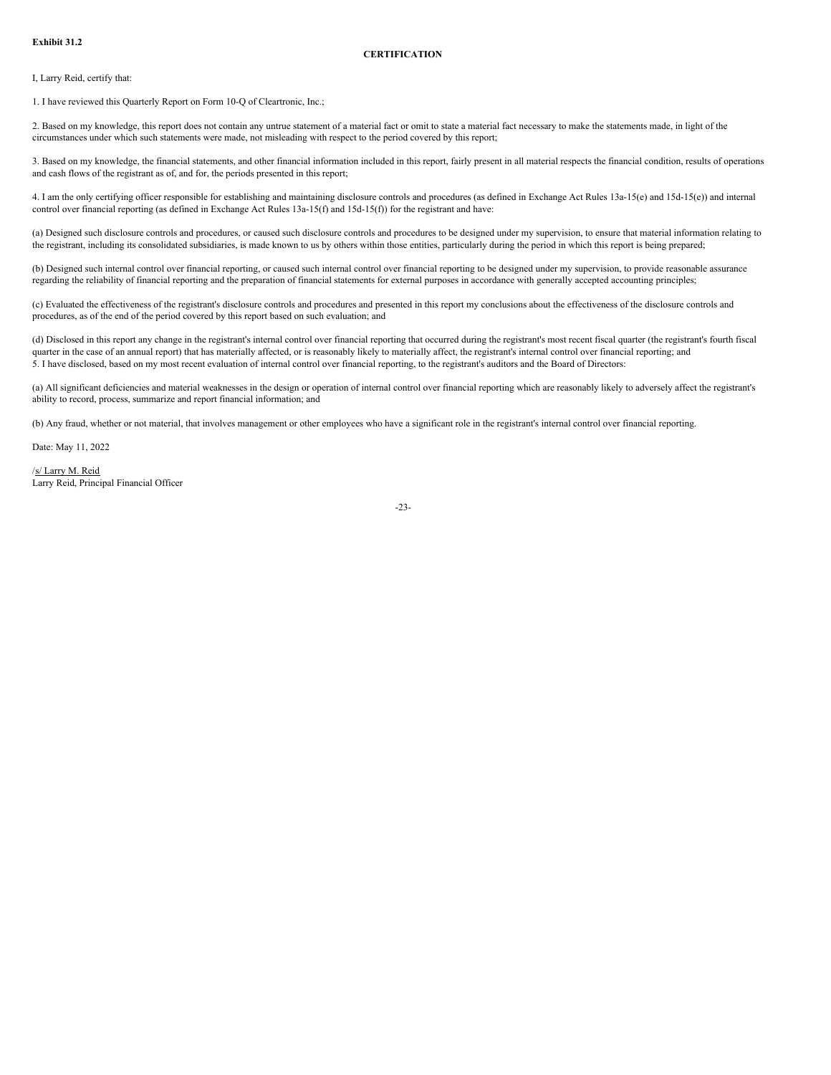## **CERTIFICATION**

I, Larry Reid, certify that:

1. I have reviewed this Quarterly Report on Form 10-Q of Cleartronic, Inc.;

2. Based on my knowledge, this report does not contain any untrue statement of a material fact or omit to state a material fact necessary to make the statements made, in light of the circumstances under which such statements were made, not misleading with respect to the period covered by this report;

3. Based on my knowledge, the financial statements, and other financial information included in this report, fairly present in all material respects the financial condition, results of operations and cash flows of the registrant as of, and for, the periods presented in this report;

4. I am the only certifying officer responsible for establishing and maintaining disclosure controls and procedures (as defined in Exchange Act Rules 13a-15(e) and 15d-15(e)) and internal control over financial reporting (as defined in Exchange Act Rules 13a-15(f) and 15d-15(f)) for the registrant and have:

(a) Designed such disclosure controls and procedures, or caused such disclosure controls and procedures to be designed under my supervision, to ensure that material information relating to the registrant, including its consolidated subsidiaries, is made known to us by others within those entities, particularly during the period in which this report is being prepared;

(b) Designed such internal control over financial reporting, or caused such internal control over financial reporting to be designed under my supervision, to provide reasonable assurance regarding the reliability of financial reporting and the preparation of financial statements for external purposes in accordance with generally accepted accounting principles;

(c) Evaluated the effectiveness of the registrant's disclosure controls and procedures and presented in this report my conclusions about the effectiveness of the disclosure controls and procedures, as of the end of the period covered by this report based on such evaluation; and

(d) Disclosed in this report any change in the registrant's internal control over financial reporting that occurred during the registrant's most recent fiscal quarter (the registrant's fourth fiscal quarter in the case of an annual report) that has materially affected, or is reasonably likely to materially affect, the registrant's internal control over financial reporting; and 5. I have disclosed, based on my most recent evaluation of internal control over financial reporting, to the registrant's auditors and the Board of Directors:

(a) All significant deficiencies and material weaknesses in the design or operation of internal control over financial reporting which are reasonably likely to adversely affect the registrant's ability to record, process, summarize and report financial information; and

(b) Any fraud, whether or not material, that involves management or other employees who have a significant role in the registrant's internal control over financial reporting.

Date: May 11, 2022

/s/ Larry M. Reid Larry Reid, Principal Financial Officer

-23-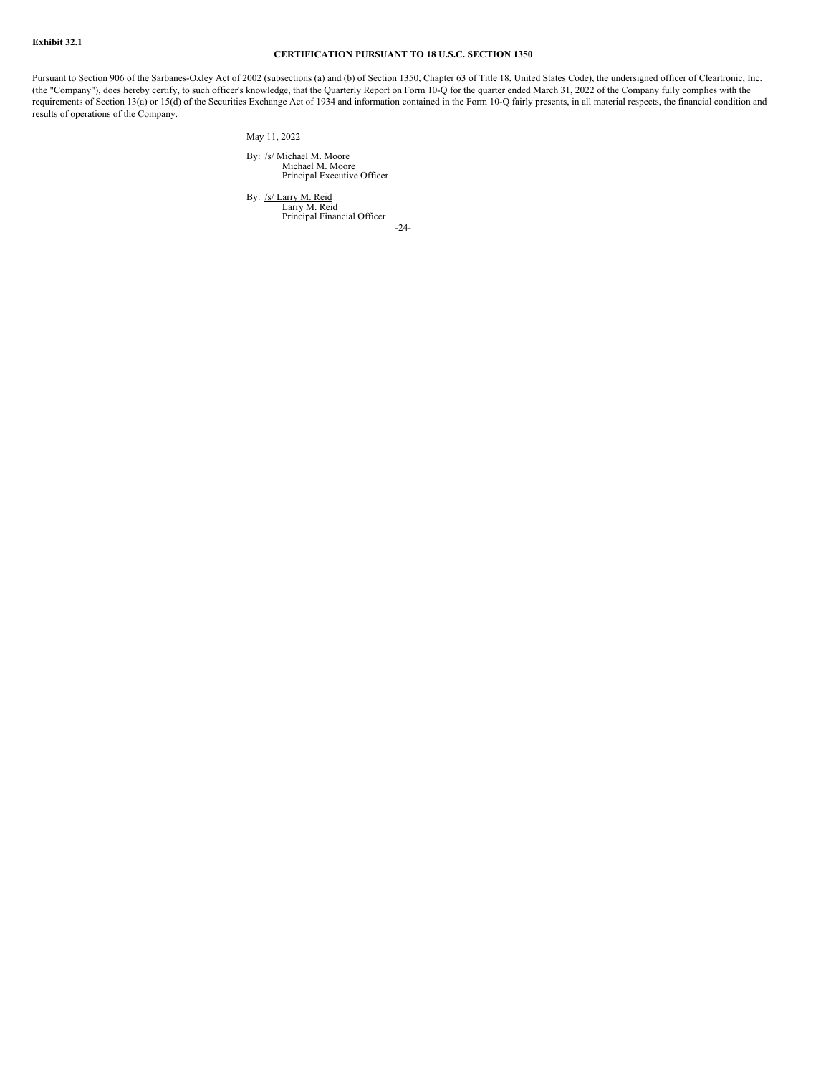## **CERTIFICATION PURSUANT TO 18 U.S.C. SECTION 1350**

Pursuant to Section 906 of the Sarbanes-Oxley Act of 2002 (subsections (a) and (b) of Section 1350, Chapter 63 of Title 18, United States Code), the undersigned officer of Cleartronic, Inc. (the "Company"), does hereby certify, to such officer's knowledge, that the Quarterly Report on Form 10-Q for the quarter ended March 31, 2022 of the Company fully complies with the requirements of Section 13(a) or 15(d) of the Securities Exchange Act of 1934 and information contained in the Form 10-Q fairly presents, in all material respects, the financial condition and results of operations of the Company.

May 11, 2022

By: /s/ Michael M. Moore<br>Michael M. Moore Principal Executive Officer

By: /s/ Larry M. Reid<br>Larry M. Reid<br>Principal Financial Officer

-24-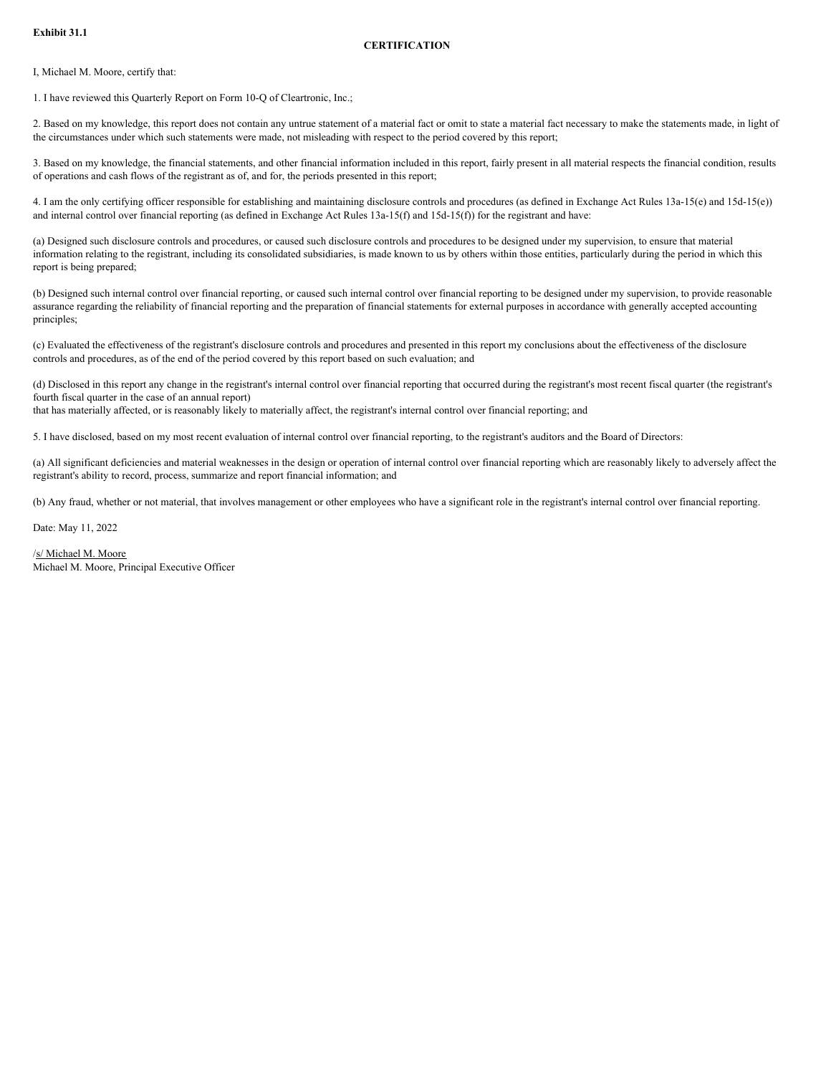## <span id="page-25-0"></span>**Exhibit 31.1**

#### **CERTIFICATION**

I, Michael M. Moore, certify that:

1. I have reviewed this Quarterly Report on Form 10-Q of Cleartronic, Inc.;

2. Based on my knowledge, this report does not contain any untrue statement of a material fact or omit to state a material fact necessary to make the statements made, in light of the circumstances under which such statements were made, not misleading with respect to the period covered by this report;

3. Based on my knowledge, the financial statements, and other financial information included in this report, fairly present in all material respects the financial condition, results of operations and cash flows of the registrant as of, and for, the periods presented in this report;

4. I am the only certifying officer responsible for establishing and maintaining disclosure controls and procedures (as defined in Exchange Act Rules 13a-15(e) and 15d-15(e)) and internal control over financial reporting (as defined in Exchange Act Rules  $13a-15(f)$  and  $15d-15(f)$ ) for the registrant and have:

(a) Designed such disclosure controls and procedures, or caused such disclosure controls and procedures to be designed under my supervision, to ensure that material information relating to the registrant, including its consolidated subsidiaries, is made known to us by others within those entities, particularly during the period in which this report is being prepared;

(b) Designed such internal control over financial reporting, or caused such internal control over financial reporting to be designed under my supervision, to provide reasonable assurance regarding the reliability of financial reporting and the preparation of financial statements for external purposes in accordance with generally accepted accounting principles;

(c) Evaluated the effectiveness of the registrant's disclosure controls and procedures and presented in this report my conclusions about the effectiveness of the disclosure controls and procedures, as of the end of the period covered by this report based on such evaluation; and

(d) Disclosed in this report any change in the registrant's internal control over financial reporting that occurred during the registrant's most recent fiscal quarter (the registrant's fourth fiscal quarter in the case of an annual report)

that has materially affected, or is reasonably likely to materially affect, the registrant's internal control over financial reporting; and

5. I have disclosed, based on my most recent evaluation of internal control over financial reporting, to the registrant's auditors and the Board of Directors:

(a) All significant deficiencies and material weaknesses in the design or operation of internal control over financial reporting which are reasonably likely to adversely affect the registrant's ability to record, process, summarize and report financial information; and

(b) Any fraud, whether or not material, that involves management or other employees who have a significant role in the registrant's internal control over financial reporting.

Date: May 11, 2022

/s/ Michael M. Moore Michael M. Moore, Principal Executive Officer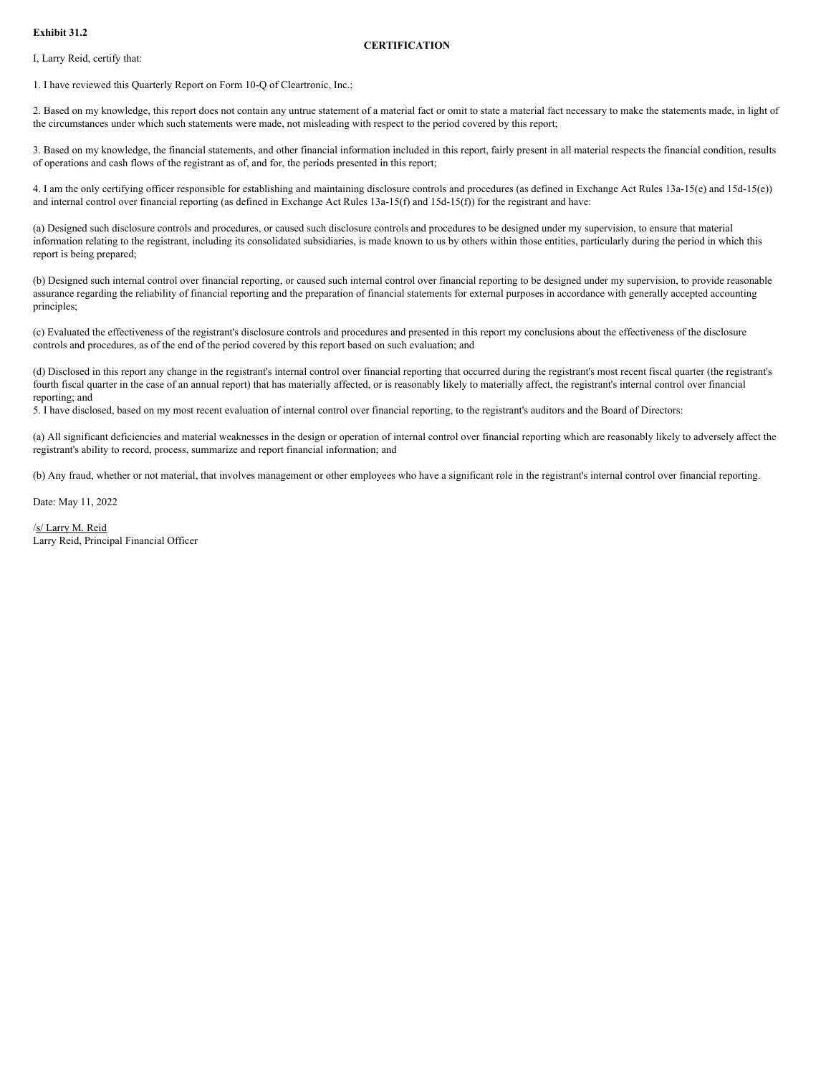## <span id="page-26-0"></span>**Exhibit 31.2**

#### **CERTIFICATION**

I, Larry Reid, certify that:

1. I have reviewed this Quarterly Report on Form 10-Q of Cleartronic, Inc.;

2. Based on my knowledge, this report does not contain any untrue statement of a material fact or omit to state a material fact necessary to make the statements made, in light of the circumstances under which such statements were made, not misleading with respect to the period covered by this report;

3. Based on my knowledge, the financial statements, and other financial information included in this report, fairly present in all material respects the financial condition, results of operations and cash flows of the registrant as of, and for, the periods presented in this report;

4. I am the only certifying officer responsible for establishing and maintaining disclosure controls and procedures (as defined in Exchange Act Rules 13a-15(e) and 15d-15(e)) and internal control over financial reporting (as defined in Exchange Act Rules 13a-15(f) and 15d-15(f)) for the registrant and have:

(a) Designed such disclosure controls and procedures, or caused such disclosure controls and procedures to be designed under my supervision, to ensure that material information relating to the registrant, including its consolidated subsidiaries, is made known to us by others within those entities, particularly during the period in which this report is being prepared;

(b) Designed such internal control over financial reporting, or caused such internal control over financial reporting to be designed under my supervision, to provide reasonable assurance regarding the reliability of financial reporting and the preparation of financial statements for external purposes in accordance with generally accepted accounting principles;

(c) Evaluated the effectiveness of the registrant's disclosure controls and procedures and presented in this report my conclusions about the effectiveness of the disclosure controls and procedures, as of the end of the period covered by this report based on such evaluation; and

(d) Disclosed in this report any change in the registrant's internal control over financial reporting that occurred during the registrant's most recent fiscal quarter (the registrant's fourth fiscal quarter in the case of an annual report) that has materially affected, or is reasonably likely to materially affect, the registrant's internal control over financial reporting; and

5. I have disclosed, based on my most recent evaluation of internal control over financial reporting, to the registrant's auditors and the Board of Directors:

(a) All significant deficiencies and material weaknesses in the design or operation of internal control over financial reporting which are reasonably likely to adversely affect the registrant's ability to record, process, summarize and report financial information; and

(b) Any fraud, whether or not material, that involves management or other employees who have a significant role in the registrant's internal control over financial reporting.

Date: May 11, 2022

/s/ Larry M. Reid Larry Reid, Principal Financial Officer